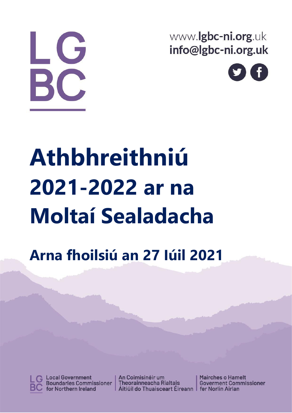LG BC,

www.lgbc-ni.org.uk info@lgbc-ni.org.uk



# **Athbhreithniú 2021-2022 ar na Moltaí Sealadacha**

## **Arna fhoilsiú an 27 Iúil 2021**



**Local Government Boundaries Commissioner** for Northern Ireland

An Coimisinéir um **Theorainneacha Rialtais** Aitiúil do Thuaisceart Éireann | fer Norlin Airlan

**Mairches o Hamelt Goverment Commissioner**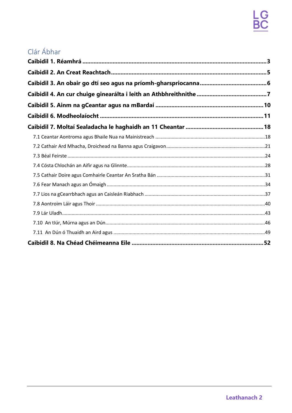## Clár Ábhar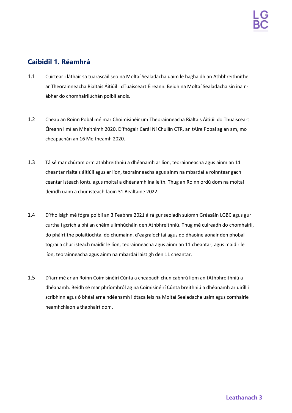## <span id="page-2-0"></span>**Caibidil 1. Réamhrá**

- 1.1 Cuirtear i láthair sa tuarascáil seo na Moltaí Sealadacha uaim le haghaidh an Athbhreithnithe ar Theorainneacha Rialtais Áitiúil i dTuaisceart Éireann. Beidh na Moltaí Sealadacha sin ina nábhar do chomhairliúchán poiblí anois.
- 1.2 Cheap an Roinn Pobal mé mar Choimisinéir um Theorainneacha Rialtais Áitiúil do Thuaisceart Éireann i mí an Mheithimh 2020. D'fhógair Carál Ní Chuilín CTR, an tAire Pobal ag an am, mo cheapachán an 16 Meitheamh 2020.
- 1.3 Tá sé mar chúram orm athbhreithniú a dhéanamh ar líon, teorainneacha agus ainm an 11 cheantar rialtais áitiúil agus ar líon, teorainneacha agus ainm na mbardaí a roinntear gach ceantar isteach iontu agus moltaí a dhéanamh ina leith. Thug an Roinn ordú dom na moltaí deiridh uaim a chur isteach faoin 31 Bealtaine 2022.
- 1.4 D'fhoilsigh mé fógra poiblí an 3 Feabhra 2021 á rá gur seoladh suíomh Gréasáin LGBC agus gur curtha i gcrích a bhí an chéim ullmhúcháin den Athbhreithniú. Thug mé cuireadh do chomhairlí, do pháirtithe polaitíochta, do chumainn, d'eagraíochtaí agus do dhaoine aonair den phobal tograí a chur isteach maidir le líon, teorainneacha agus ainm an 11 cheantar; agus maidir le líon, teorainneacha agus ainm na mbardaí laistigh den 11 cheantar.
- 1.5 D'iarr mé ar an Roinn Coimisinéirí Cúnta a cheapadh chun cabhrú liom an tAthbhreithniú a dhéanamh. Beidh sé mar phríomhról ag na Coimisinéirí Cúnta breithniú a dhéanamh ar uiríll i scríbhinn agus ó bhéal arna ndéanamh i dtaca leis na Moltaí Sealadacha uaim agus comhairle neamhchlaon a thabhairt dom.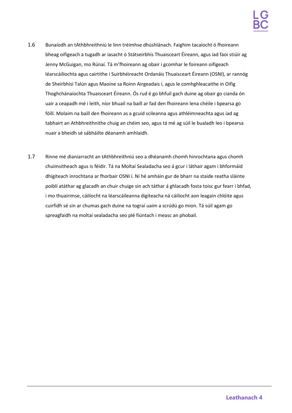- 1.6 Bunaíodh an tAthbhreithniú le linn tréimhse dhúshlánach. Faighim tacaíocht ó fhoireann bheag oifigeach a tugadh ar iasacht ó Státseirbhís Thuaisceart Éireann, agus iad faoi stiúir ag Jenny McGuigan, mo Rúnaí. Tá m'fhoireann ag obair i gcomhar le foireann oifigeach léarscáilíochta agus cairtithe i Suirbhéireacht Ordanáis Thuaisceart Éireann (OSNI), ar rannóg de Sheirbhísí Talún agus Maoine sa Roinn Airgeadais í, agus le comhghleacaithe in Oifig Thoghchánaíochta Thuaisceart Éireann. Ós rud é go bhfuil gach duine ag obair go cianda ón uair a ceapadh mé i leith, níor bhuail na baill ar fad den fhoireann lena chéile i bpearsa go fóill. Molaim na baill den fhoireann as a gcuid scileanna agus athléimneachta agus iad ag tabhairt an Athbhreithnithe chuig an chéim seo, agus tá mé ag súil le bualadh leo i bpearsa nuair a bheidh sé sábháilte déanamh amhlaidh.
- 1.7 Rinne mé dianiarracht an tAthbhreithniú seo a dhéanamh chomh hinrochtana agus chomh chuimsitheach agus is féidir. Tá na Moltaí Sealadacha seo á gcur i láthair agam i bhformáid dhigiteach inrochtana ar fhorbair OSNI í. Ní hé amháin gur de bharr na staide reatha sláinte poiblí atáthar ag glacadh an chuir chuige sin ach táthar á ghlacadh fosta toisc gur fearr i bhfad, i mo thuairimse, cáilíocht na léarscáileanna digiteacha ná cáilíocht aon leagain chlóite agus cuirfidh sé sin ar chumas gach duine na tograí uaim a scrúdú go mion. Tá súil agam go spreagfaidh na moltaí sealadacha seo plé fiúntach i measc an phobail.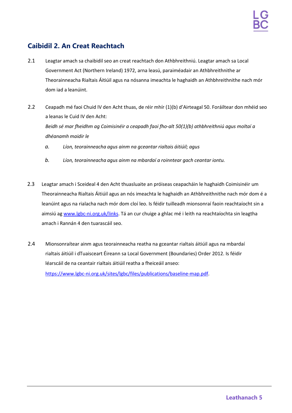## <span id="page-4-0"></span>**Caibidil 2. An Creat Reachtach**

- 2.1 Leagtar amach sa chaibidil seo an creat reachtach don Athbhreithniú. Leagtar amach sa Local Government Act (Northern Ireland) 1972, arna leasú, paraiméadair an Athbhreithnithe ar Theorainneacha Rialtais Áitiúil agus na nósanna imeachta le haghaidh an Athbhreithnithe nach mór dom iad a leanúint.
- 2.2 Ceapadh mé faoi Chuid IV den Acht thuas, de réir mhír (1)(b) d'Airteagal 50. Foráiltear don mhéid seo a leanas le Cuid IV den Acht: *Beidh sé mar fheidhm ag Coimisinéir a ceapadh faoi fho-alt 50(1)(b) athbhreithniú agus moltaí a dhéanamh maidir le*
	- *a. Líon, teorainneacha agus ainm na gceantar rialtais áitiúil; agus*
	- *b. Líon, teorainneacha agus ainm na mbardaí a roinntear gach ceantar iontu.*
- 2.3 Leagtar amach i Sceideal 4 den Acht thuasluaite an próiseas ceapacháin le haghaidh Coimisinéir um Theorainneacha Rialtais Áitiúil agus an nós imeachta le haghaidh an Athbhreithnithe nach mór dom é a leanúint agus na rialacha nach mór dom cloí leo. Is féidir tuilleadh mionsonraí faoin reachtaíocht sin a aimsiú ag [www.lgbc-ni.org.uk/links. T](http://www.lgbc-ni.org.uk/links)á an cur chuige a ghlac mé i leith na reachtaíochta sin leagtha amach i Rannán 4 den tuarascáil seo.
- 2.4 Mionsonraítear ainm agus teorainneacha reatha na gceantar rialtais áitiúil agus na mbardaí rialtais áitiúil i dTuaisceart Éireann sa Local Government (Boundaries) Order 2012. Is féidir léarscáil de na ceantair rialtais áitiúil reatha a fheiceáil anseo:

[https://www.lgbc-ni.org.uk/sites/lgbc/files/publications/baseline-map.pdf.](https://www.lgbc-ni.org.uk/sites/lgbc/files/publications/baseline-map.pdf)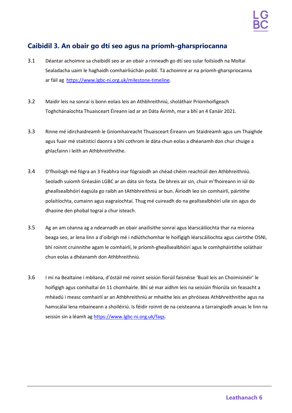## <span id="page-5-0"></span>**Caibidil 3. An obair go dtí seo agus na príomh-gharspriocanna**

- 3.1 Déantar achoimre sa chaibidil seo ar an obair a rinneadh go dtí seo sular foilsíodh na Moltaí Sealadacha uaim le haghaidh comhairliúchán poiblí. Tá achoimre ar na príomh-gharspriocanna ar fáil ag [https://www.lgbc-ni.org.uk/milestone-timeline.](https://www.lgbc-ni.org.uk/milestone-timeline)
- 3.2 Maidir leis na sonraí is bonn eolais leis an Athbhreithniú, sholáthair Príomhoifigeach Toghchánaíochta Thuaisceart Éireann iad ar an Dáta Áirimh, mar a bhí an 4 Eanáir 2021.
- 3.3 Rinne mé idirchaidreamh le Gníomhaireacht Thuaisceart Éireann um Staidreamh agus um Thaighde agus fuair mé staitisticí daonra a bhí cothrom le dáta chun eolas a dhéanamh don chur chuige a ghlacfainn i leith an Athbhreithnithe.
- 3.4 D'fhoilsigh mé fógra an 3 Feabhra inar fógraíodh an chéad chéim reachtúil den Athbhreithniú. Seoladh suíomh Gréasáin LGBC ar an dáta sin fosta. De bhreis air sin, chuir m'fhoireann in iúl do gheallsealbhóirí éagsúla go raibh an tAthbhreithniú ar bun. Áiríodh leo sin comhairlí, páirtithe polaitíochta, cumainn agus eagraíochtaí. Thug mé cuireadh do na geallsealbhóirí uile sin agus do dhaoine den phobal tograí a chur isteach.
- 3.5 Ag an am céanna ag a ndearnadh an obair anailísithe sonraí agus léarscáilíochta thar na míonna beaga seo, ar lena linn a d'oibrigh mé i ndlúthchomhar le hoifigigh léarscáilíochta agus cairtithe OSNI, bhí roinnt cruinnithe agam le comhairlí, le príomh-gheallsealbhóirí agus le comhpháirtithe soláthair chun eolas a dhéanamh don Athbhreithniú.
- 3.6 I mí na Bealtaine i mbliana, d'óstáil mé roinnt seisiún fíorúil faisnéise 'Buail leis an Choimisinéir' le hoifigigh agus comhaltaí ón 11 chomhairle. Bhí sé mar aidhm leis na seisiúin fhíorúla sin feasacht a mhéadú i measc comhairlí ar an Athbhreithniú ar mhaithe leis an phróiseas Athbhreithnithe agus na hamscálaí lena mbaineann a shoiléiriú. Is féidir roinnt de na ceisteanna a tarraingíodh anuas le linn na seisiún sin a léamh ag [https://www.lgbc-ni.org.uk/faqs.](https://www.lgbc-ni.org.uk/faqs)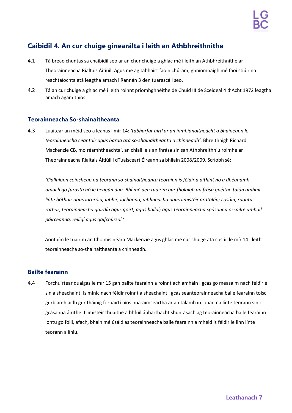## <span id="page-6-0"></span>**Caibidil 4. An cur chuige ginearálta i leith an Athbhreithnithe**

- 4.1 Tá breac-chuntas sa chaibidil seo ar an chur chuige a ghlac mé i leith an Athbhreithnithe ar Theorainneacha Rialtais Áitiúil. Agus mé ag tabhairt faoin chúram, ghníomhaigh mé faoi stiúir na reachtaíochta atá leagtha amach i Rannán 3 den tuarascáil seo.
- 4.2 Tá an cur chuige a ghlac mé i leith roinnt príomhghnéithe de Chuid III de Sceideal 4 d'Acht 1972 leagtha amach agam thíos.

## **Teorainneacha So-shainaitheanta**

4.3 Luaitear an méid seo a leanas i mír 14: *'tabharfar aird ar an inmhianaitheacht a bhaineann le teorainneacha ceantair agus barda atá so-shainaitheanta a chinneadh'*. Bhreithnigh Richard Mackenzie CB, mo réamhtheachtaí, an chiall leis an fhrása sin san Athbhreithniú roimhe ar Theorainneacha Rialtais Áitiúil i dTuaisceart Éireann sa bhliain 2008/2009. Scríobh sé:

*'Ciallaíonn coincheap na teorann so-shainaitheanta teorainn is féidir a aithint nó a dhéanamh amach go furasta nó le beagán dua. Bhí mé den tuairim gur fholaigh an frása gnéithe talún amhail línte bóthair agus iarnróid; inbhir, lochanna, aibhneacha agus limistéir ardtalún; cosáin, raonta rothar, teorainneacha gairdín agus goirt, agus ballaí; agus teorainneacha spásanna oscailte amhail páirceanna, reiligí agus galfchúrsaí.'*

Aontaím le tuairim an Choimisinéara Mackenzie agus ghlac mé cur chuige atá cosúil le mír 14 i leith teorainneacha so-shainaitheanta a chinneadh.

## **Bailte fearainn**

4.4 Forchuirtear dualgas le mír 15 gan bailte fearainn a roinnt ach amháin i gcás go measaim nach féidir é sin a sheachaint. Is minic nach féidir roinnt a sheachaint i gcás seanteorainneacha baile fearainn toisc gurb amhlaidh gur tháinig forbairtí níos nua-aimseartha ar an talamh in ionad na línte teorann sin i gcásanna áirithe. I limistéir thuaithe a bhfuil ábharthacht shuntasach ag teorainneacha baile fearainn iontu go fóill, áfach, bhain mé úsáid as teorainneacha baile fearainn a mhéid is féidir le linn línte teorann a líniú.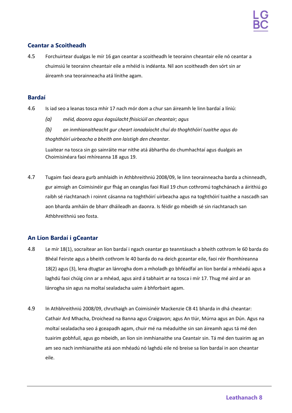## **Ceantar a Scoitheadh**

4.5 Forchuirtear dualgas le mír 16 gan ceantar a scoitheadh le teorainn cheantair eile nó ceantar a chuimsiú le teorainn cheantair eile a mhéid is indéanta. Níl aon scoitheadh den sórt sin ar áireamh sna teorainneacha atá línithe agam.

### **Bardaí**

- 4.6 Is iad seo a leanas tosca mhír 17 nach mór dom a chur san áireamh le linn bardaí a líniú:
	- *(a) méid, daonra agus éagsúlacht fhisiciúil an cheantair; agus*

*(b) an inmhianaitheacht gur cheart ionadaíocht chuí do thoghthóirí tuaithe agus do thoghthóirí uirbeacha a bheith ann laistigh den cheantar.*

Luaitear na tosca sin go sainráite mar nithe atá ábhartha do chumhachtaí agus dualgais an Choimisinéara faoi mhíreanna 18 agus 19.

4.7 Tugaim faoi deara gurb amhlaidh in Athbhreithniú 2008/09, le linn teorainneacha barda a chinneadh, gur aimsigh an Coimisinéir gur fhág an ceanglas faoi Riail 19 chun cothromú toghchánach a áirithiú go raibh sé riachtanach i roinnt cásanna na toghthóirí uirbeacha agus na toghthóirí tuaithe a nascadh san aon bharda amháin de bharr dháileadh an daonra. Is féidir go mbeidh sé sin riachtanach san Athbhreithniú seo fosta.

## **An Líon Bardaí i gCeantar**

- 4.8 Le mír 18(1), socraítear an líon bardaí i ngach ceantar go teanntásach a bheith cothrom le 60 barda do Bhéal Feirste agus a bheith cothrom le 40 barda do na deich gceantar eile, faoi réir fhomhíreanna 18(2) agus (3), lena dtugtar an lánrogha dom a mholadh go bhféadfaí an líon bardaí a mhéadú agus a laghdú faoi chúig cinn ar a mhéad, agus aird á tabhairt ar na tosca i mír 17. Thug mé aird ar an lánrogha sin agus na moltaí sealadacha uaim á bhforbairt agam.
- 4.9 In Athbhreithniú 2008/09, chruthaigh an Coimisinéir Mackenzie CB 41 bharda in dhá cheantar: Cathair Ard Mhacha, Droichead na Banna agus Craigavon; agus An tIúr, Múrna agus an Dún. Agus na moltaí sealadacha seo á gceapadh agam, chuir mé na méaduithe sin san áireamh agus tá mé den tuairim gobhfuil, agus go mbeidh, an líon sin inmhianaithe sna Ceantair sin. Tá mé den tuairim ag an am seo nach inmhianaithe atá aon mhéadú nó laghdú eile nó breise sa líon bardaí in aon cheantar eile.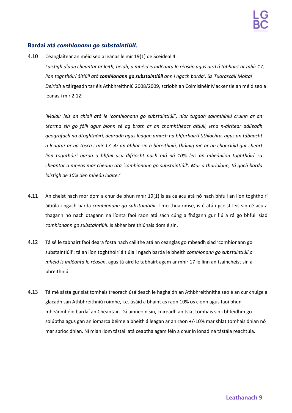## **Bardaí atá** *comhionann go substaintiúil***.**

4.10 Ceanglaítear an méid seo a leanas le mír 19(1) de Sceideal 4: *Laistigh d'aon cheantar ar leith, beidh, a mhéid is indéanta le réasún agus aird á tabhairt ar mhír 17, líon toghthóirí áitiúil atá comhionann go substaintiúil ann i ngach barda'.* Sa *Tuarascáil Moltaí Deiridh* a táirgeadh tar éis Athbhreithniú 2008/2009, scríobh an Coimisinéir Mackenzie an méid seo a leanas i mír 2.12:

*'Maidir leis an chiall atá le 'comhionann go substaintiúil', níor tugadh sainmhíniú cruinn ar an téarma sin go fóill agus bíonn sé ag brath ar an chomhthéacs áitiúil, lena n-áirítear dáileadh geografach na dtoghthóirí, dearadh agus leagan amach na bhforbairtí tithíochta, agus an tábhacht a leagtar ar na tosca i mír 17. Ar an ábhar sin a bhreithniú, tháinig mé ar an chonclúid gur cheart líon toghthóirí barda a bhfuil acu difríocht nach mó ná 10% leis an mheánlíon toghthóirí sa cheantar a mheas mar cheann atá 'comhionann go substaintiúil'. Mar a tharlaíonn, tá gach barda laistigh de 10% den mheán luaite.'*

- 4.11 An cheist nach mór dom a chur de bhun mhír 19(1) is ea cé acu atá nó nach bhfuil an líon toghthóirí áitiúla i ngach barda *comhionann go substaintiúil*. I mo thuairimse, is é atá i gceist leis sin cé acu a thagann nó nach dtagann na líonta faoi raon atá sách cúng a fhágann gur fiú a rá go bhfuil siad *comhionann go substaintiúil*. Is ábhar breithiúnais dom é sin.
- 4.12 Tá sé le tabhairt faoi deara fosta nach cáilithe atá an ceanglas go mbeadh siad 'comhionann go substaintiúil': tá an líon toghthóirí áitiúla i ngach barda le bheith *comhionann go substaintiúil a mhéid is indéanta le réasún*, agus tá aird le tabhairt agam ar mhír 17 le linn an tsaincheist sin a bhreithniú.
- 4.13 Tá mé sásta gur slat tomhais treorach úsáideach le haghaidh an Athbhreithnithe seo é an cur chuige a glacadh san Athbhreithniú roimhe, i.e. úsáid a bhaint as raon 10% os cionn agus faoi bhun mheánmhéid bardaí an Cheantair. Dá ainneoin sin, cuireadh an tslat tomhais sin i bhfeidhm go solúbtha agus gan an iomarca béime a bheith á leagan ar an raon +/-10% mar shlat tomhais dhian nó mar sprioc dhian. Ní mian liom tástáil atá ceaptha agam féin a chur in ionad na tástála reachtúla.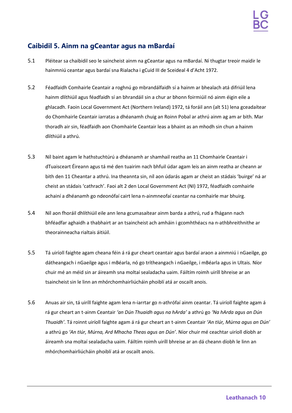## <span id="page-9-0"></span>**Caibidil 5. Ainm na gCeantar agus na mBardaí**

- 5.1 Pléitear sa chaibidil seo le saincheist ainm na gCeantar agus na mBardaí. Ní thugtar treoir maidir le hainmniú ceantar agus bardaí sna Rialacha i gCuid III de Sceideal 4 d'Acht 1972.
- 5.2 Féadfaidh Comhairle Ceantair a roghnú go mbrandálfaidh sí a hainm ar bhealach atá difriúil lena hainm dlíthiúil agus féadfaidh sí an bhrandáil sin a chur ar bhonn foirmiúil nó ainm éigin eile a ghlacadh. Faoin Local Government Act (Northern Ireland) 1972, tá foráil ann (alt 51) lena gceadaítear do Chomhairle Ceantair iarratas a dhéanamh chuig an Roinn Pobal ar athrú ainm ag am ar bith. Mar thoradh air sin, féadfaidh aon Chomhairle Ceantair leas a bhaint as an mhodh sin chun a hainm dlíthiúil a athrú.
- 5.3 Níl baint agam le hathstuchtúrú a dhéanamh ar shamhail reatha an 11 Chomhairle Ceantair i dTuaisceart Éireann agus tá mé den tuairim nach bhfuil údar agam leis an ainm reatha ar cheann ar bith den 11 Cheantar a athrú. Ina theannta sin, níl aon údarás agam ar cheist an stádais 'buirge' ná ar cheist an stádais 'cathrach'. Faoi alt 2 den Local Government Act (NI) 1972, féadfaidh comhairle achainí a dhéanamh go ndeonófaí cairt lena n-ainmneofaí ceantar na comhairle mar bhuirg.
- 5.4 Níl aon fhoráil dhlíthiúil eile ann lena gcumasaítear ainm barda a athrú, rud a fhágann nach bhféadfar aghaidh a thabhairt ar an tsaincheist ach amháin i gcomhthéacs na n-athbhreithnithe ar theorainneacha rialtais áitiúil.
- 5.5 Tá uiríoll faighte agam cheana féin á rá gur cheart ceantair agus bardaí araon a ainmniú i nGaeilge, go dátheangach i nGaeilge agus i mBéarla, nó go trítheangach i nGaeilge, i mBéarla agus in Ultais. Níor chuir mé an méid sin ar áireamh sna moltaí sealadacha uaim. Fáiltím roimh uiríll bhreise ar an tsaincheist sin le linn an mhórchomhairliúcháin phoiblí atá ar oscailt anois.
- 5.6 Anuas air sin, tá uiríll faighte agam lena n-iarrtar go n-athrófaí ainm ceantar. Tá uiríoll faighte agam á rá gur cheart an t-ainm Ceantair *'an Dún Thuaidh agus na hArda'* a athrú go *'Na hArda agus an Dún Thuaidh'*. Tá roinnt uiríoll faighte agam á rá gur cheart an t-ainm Ceantair *'An tIúr, Múrna agus an Dún'* a athrú go *'An tIúr, Múrna, Ard Mhacha Theas agus an Dún'*. Níor chuir mé ceachtar uiríoll díobh ar áireamh sna moltaí sealadacha uaim. Fáiltím roimh uiríll bhreise ar an dá cheann díobh le linn an mhórchomhairliúcháin phoiblí atá ar oscailt anois.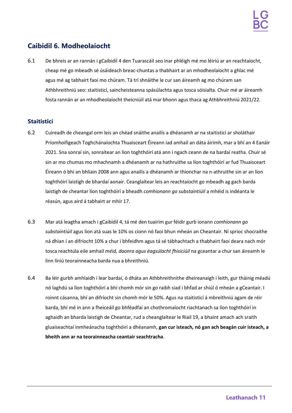## <span id="page-10-0"></span>**Caibidil 6. Modheolaíocht**

6.1 De bhreis ar an rannán i gCaibidil 4 den Tuarascáil seo inar phléigh mé mo léiriú ar an reachtaíocht, cheap mé go mbeadh sé úsáideach breac-chuntas a thabhairt ar an mhodheolaíocht a ghlac mé agus mé ag tabhairt faoi mo chúram. Tá trí shnáithe le cur san áireamh ag mo chúram san Athbhreithniú seo: staitisticí, saincheisteanna spásúlachta agus tosca sóisialta. Chuir mé ar áireamh fosta rannán ar an mhodheolaíocht theicniúil atá mar bhonn agus thaca ag Athbhreithniú 2021/22.

## **Staitisticí**

- 6.2 Cuireadh de cheangal orm leis an chéad snáithe anailís a dhéanamh ar na staitisticí ar sholáthair Príomhoifigeach Toghchánaíochta Thuaisceart Éireann iad amhail an dáta áirimh, mar a bhí an 4 Eanáir 2021. Sna sonraí sin, sonraítear an líon toghthóirí atá ann i ngach ceann de na bardaí reatha. Chuir sé sin ar mo chumas mo mhachnamh a dhéanamh ar na hathruithe sa líon toghthóirí ar fud Thuaisceart Éireann ó bhí an bhliain 2008 ann agus anailís a dhéanamh ar thionchar na n-athruithe sin ar an líon toghthóirí laistigh de bhardaí aonair. Ceanglaítear leis an reachtaíocht go mbeadh ag gach barda laistigh de cheantar líon toghthóirí a bheadh *comhionann go substaintiúil* a mhéid is indéanta le réasún, agus aird á tabhairt ar mhír 17.
- 6.3 Mar atá leagtha amach i gCaibidil 4, tá mé den tuairim gur féidir gurb ionann *comhionann go substaintiúil* agus líon atá suas le 10% os cionn nó faoi bhun mheán an Cheantair. Ní sprioc shocraithe ná dhian í an difríocht 10% a chur i bhfeidhm agus tá sé tábhachtach a thabhairt faoi deara nach mór tosca reachtúla eile amhail *méid, daonra agus éagsúlacht fhisiciúil* na gceantar a chur san áireamh le linn líniú teorainneacha barda nua a bhreithniú.
- 6.4 Ba léir gurbh amhlaidh i lear bardaí, ó dháta an Athbhreithnithe dheireanaigh i leith, gur tháinig méadú nó laghdú sa líon toghthóirí a bhí chomh mór sin go raibh siad i bhfad ar shiúl ó mheán a gCeantair. I roinnt cásanna, bhí an difríocht sin chomh mór le 50%. Agus na staitisticí á mbreithniú agam de réir barda, bhí mé in ann a fheiceáil go bhféadfaí an chothromaíocht riachtanach sa líon toghthóirí in aghaidh an bharda laistigh de Cheantar, rud a cheanglaítear le Riail 19, a bhaint amach ach sraith gluaiseachtaí inmheánacha toghthóirí a dhéanamh, **gan cur isteach, nó gan ach beagán cuir isteach, a bheith ann ar na teorainneacha ceantair seachtracha**.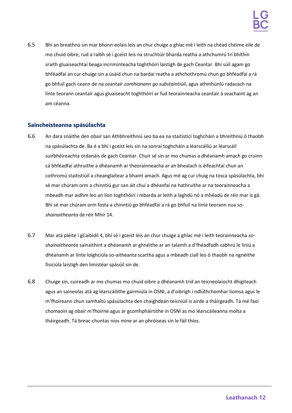6.5 Bhí an breathnú sin mar bhonn eolais leis an chur chuige a ghlac mé i leith na chéad chéime eile de mo chuid oibre, rud a raibh sé i gceist leis na struchtúir bharda reatha a athchumrú trí bhíthin sraith gluaiseachtaí beaga incriminteacha toghthóirí laistigh de gach Ceantar. Bhí súil agam go bhféadfaí an cur chuige sin a úsáid chun na bardaí reatha a athchothromú chun go bhféadfaí a rá go bhfuil gach ceann de na ceantair *comhionann go substaintiúil*, agus athmhúnlú radacach na línte teorann ceantair agus gluaiseacht toghthóirí ar fud teorainneacha ceantair á seachaint ag an am céanna.

## **Saincheisteanna spásúlachta**

- 6.6 An dara snáithe den obair san Athbhreithniú seo ba ea na staitisticí toghcháin a bhreithniú ó thaobh na spásúlachta de. Ba é a bhí i gceist leis sin na sonraí toghcháin a léarscáiliú ar léarscáil suirbhéireachta ordanáis de gach Ceantar. Chuir sé sin ar mo chumas a dhéanamh amach go cruinn cá bhféadfaí athruithe a dhéanamh ar theorainneacha ar an bhealach is éifeachtaí chun an cothromú staitistiúil a cheanglaítear a bhaint amach. Agus mé ag cur chuig na tosca spásúlachta, bhí sé mar chúram orm a chinntiú gur san áit chuí a dhéanfaí na hathruithe ar na teorainneacha a mbeadh mar aidhm leo an líon toghthóirí i mbarda ar leith a laghdú nó a mhéadú de réir mar is gá. Bhí sé mar chúram orm fosta a chinntiú go bhféadfaí a rá go bhfuil na línte teorann nua *soshainaitheanta* de réir Mhír 14.
- 6.7 Mar atá pléite i gCaibidil 4, bhí sé i gceist leis an chur chuige a ghlac mé i leith teorainneacha *soshainaitheanta* sainaithint a dhéanamh ar ghnéithe ar an talamh a d'fhéadfadh cabhrú le líniú a dhéanamh ar línte loighciúla so-aitheanta scartha agus a mbeadh ciall leo ó thaobh na ngnéithe fisiciúla laistigh den limistéar spásúil sin de.
- 6.8 Chuige sin, cuireadh ar mo chumas mo chuid oibre a dhéanamh tríd an teicneolaíocht dhigiteach agus an saineolas atá ag léarscáilithe gairmiúla in OSNI, a d'oibrigh i ndlúthchomhar liomsa agus le m'fhoireann chun samhaltú spásúlachta den chaighdeán teicniúil is airde a tháirgeadh. Tá mé faoi chomaoin ag obair m'fhoirne agus ár gcomhpháirtithe in OSNI as mo léarscáileanna molta a tháirgeadh. Tá breac-chuntas níos mine ar an phróiseas sin le fáil thíos.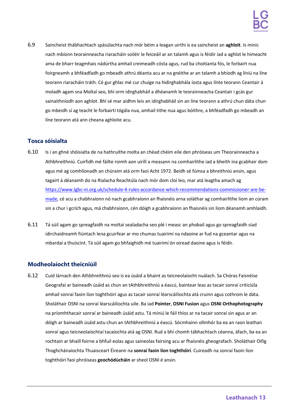6.9 Saincheist thábhachtach spásúlachta nach mór béim a leagan uirthi is ea saincheist an **aghloit**. Is minic nach mbíonn teorainneacha riaracháin soiléir le feiceáil ar an talamh agus is féidir iad a aghlot le himeacht ama de bharr teagmhais nádúrtha amhail creimeadh cósta agus, rud ba choitianta fós, le forbairt nua foirgneamh a bhféadfadh go mbeadh athrú déanta acu ar na gnéithe ar an talamh a bhíodh ag líniú na líne teorann riaracháin tráth. Cé gur ghlac mé cur chuige na hidirghabhála íosta agus línte teorann Ceantair á moladh agam sna Moltaí seo, bhí orm idirghabháil a dhéanamh le teorainneacha Ceantair i gcás gur sainaithníodh aon aghlot. Bhí sé mar aidhm leis an idirghabháil sin an líne teorann a athrú chun dáta chun go mbeidh sí ag teacht le forbairtí tógála nua, amhail tithe nua agus bóithre, a bhféadfadh go mbeadh an líne teorann atá ann cheana aghloite acu.

## **Tosca sóisialta**

- 6.10 Is í an ghné shóisialta de na hathruithe molta an chéad chéim eile den phróiseas um Theorainneacha a Athbhreithniú. Cuirfidh mé fáilte roimh aon uiríll a measann na comhairlithe iad a bheith ina gcabhair dom agus mé ag comhlíonadh an chúraim atá orm faoi Acht 1972. Beidh sé fúmsa a bhreithniú ansin, agus tagairt á déanamh do na Rialacha Reachtúla nach mór dom cloí leo, mar atá leagtha amach ag [https://www.lgbc-ni.org.uk/schedule-4-rules-accordance-which-recommendations-commissioner-are-be](https://www.lgbc-ni.org.uk/schedule-4-rules-accordance-which-recommendations-commissioner-are-be-made)[made, c](https://www.lgbc-ni.org.uk/schedule-4-rules-accordance-which-recommendations-commissioner-are-be-made)é acu a chabhraíonn nó nach gcabhraíonn an fhaisnéis arna soláthar ag comhairlithe liom an cúram sin a chur i gcrích agus, má chabhraíonn, cén dóigh a gcabhraíonn an fhaisnéis sin liom déanamh amhlaidh.
- 6.11 Tá súil agam go spreagfaidh na moltaí sealadacha seo plé i measc an phobail agus go spreagfaidh siad idirchaidreamh fiúntach lena gcuirfear ar mo chumas tuairimí na ndaoine ar fud na gceantar agus na mbardaí a thuiscint. Tá súil agam go bhfaighidh mé tuairimí ón oiread daoine agus is féidir.

## **Modheolaíocht theicniúil**

6.12 Cuid lárnach den Athbhreithniú seo is ea úsáid a bhaint as teicneolaíocht nuálach. Sa Chóras Faisnéise Geografaí ar baineadh úsáid as chun an tAthbhreithniú a éascú, baintear leas as tacair sonraí criticiúla amhail sonraí faoin líon toghthóirí agus as tacair sonraí léarscáilíochta atá cruinn agus cothrom le dáta. Sholáthair OSNI na sonraí léarscáilíochta uile. Ba iad **Pointer**, **OSNI Fusion** agus **OSNI Orthophotography** na príomhthacair sonraí ar baineadh úsáid astu. Tá míniú le fáil thíos ar na tacair sonraí sin agus ar an dóigh ar baineadh úsáid astu chun an tAthbhreithniú a éascú. Sócmhainn ollmhór ba ea an raon leathan sonraí agus teicneolaíochtaí tacaíochta atá ag OSNI. Rud a bhí chomh tábhachtach céanna, áfach, ba ea an rochtain ar bhaill foirne a bhfuil eolas agus saineolas fairsing acu ar fhaisnéis gheografach. Sholáthair Oifig Thoghchánaíochta Thuaisceart Éireann na **sonraí faoin líon toghthóirí**. Cuireadh na sonraí faoin líon toghthóirí faoi phróiseas **geochódúcháin** ar sheol OSNI é ansin.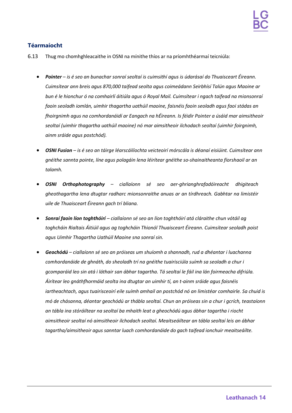## **Téarmaíocht**

- 6.13 Thug mo chomhghleacaithe in OSNI na mínithe thíos ar na príomhthéarmaí teicniúla:
	- *Pointer – is é seo an bunachar sonraí seoltaí is cuimsithí agus is údarásaí do Thuaisceart Éireann. Cuimsítear ann breis agus 870,000 taifead seolta agus coimeádann Seirbhísí Talún agus Maoine ar bun é le hionchur ó na comhairlí áitiúla agus ó Royal Mail. Cuimsítear i ngach taifead na mionsonraí faoin seoladh iomlán, uimhir thagartha uathúil maoine, faisnéis faoin seoladh agus faoi stádas an fhoirgnimh agus na comhordanáidí ar Eangach na hÉireann. Is féidir Pointer a úsáid mar aimsitheoir seoltaí (uimhir thagartha uathúil maoine) nó mar aimsitheoir ilchodach seoltaí (uimhir foirgnimh, ainm sráide agus postchód).*
	- *OSNI Fusion – is é seo an táirge léarscáilíochta veicteoirí mórscála is déanaí eisiúint. Cuimsítear ann gnéithe sannta pointe, líne agus polagáin lena léirítear gnéithe so-shainaitheanta fíorshaoil ar an talamh.*
	- *OSNI Orthophotography – ciallaíonn sé seo aer-ghrianghrafadóireacht dhigiteach gheothagartha lena dtugtar radharc mionsonraithe anuas ar an tírdhreach. Gabhtar na limistéir uile de Thuaisceart Éireann gach trí bliana.*
	- *Sonraí faoin líon toghthóirí – ciallaíonn sé seo an líon toghthóirí atá cláraithe chun vótáil ag toghcháin Rialtais Áitiúil agus ag toghcháin Thionól Thuaisceart Éireann. Cuimsítear seoladh poist agus Uimhir Thagartha Uathúil Maoine sna sonraí sin.*
	- *Geochódú – ciallaíonn sé seo an próiseas um shuíomh a shannadh, rud a dhéantar i luachanna comhordanáide de ghnáth, do sheoladh trí na gnéithe tuairisciúla suímh sa seoladh a chur i gcomparáid leo sin atá i láthair san ábhar tagartha. Tá seoltaí le fáil ina lán foirmeacha difriúla. Áirítear leo gnáthfhormáid seolta ina dtugtar an uimhir tí, an t-ainm sráide agus faisnéis iartheachtach, agus tuairisceoirí eile suímh amhail an postchód nó an limistéar comhairle. Sa chuid is mó de chásanna, déantar geochódú ar thábla seoltaí. Chun an próiseas sin a chur i gcrích, teastaíonn an tábla ina stóráiltear na seoltaí ba mhaith leat a gheochódú agus ábhar tagartha i riocht aimsitheoir seoltaí nó aimsitheoir ilchodach seoltaí. Meaitseáiltear an tábla seoltaí leis an ábhar tagartha/aimsitheoir agus sanntar luach comhordanáide do gach taifead ionchuir meaitseáilte.*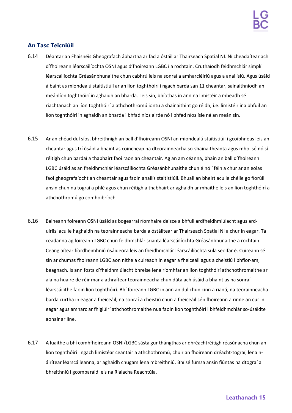## **An Tasc Teicniúil**

- 6.14 Déantar an Fhaisnéis Gheografach ábhartha ar fad a óstáil ar Thairseach Spatial NI. Ní cheadaítear ach d'fhoireann léarscáilíochta OSNI agus d'fhoireann LGBC í a rochtain. Cruthaíodh feidhmchlár simplí léarscáilíochta Gréasánbhunaithe chun cabhrú leis na sonraí a amharcléiriú agus a anailísiú. Agus úsáid á baint as miondealú staitistiúil ar an líon toghthóirí i ngach barda san 11 cheantar, sainaithníodh an meánlíon toghthóirí in aghaidh an bharda. Leis sin, bhíothas in ann na limistéir a mbeadh sé riachtanach an líon toghthóirí a athchothromú iontu a shainaithint go réidh, i.e. limistéir ina bhfuil an líon toghthóirí in aghaidh an bharda i bhfad níos airde nó i bhfad níos ísle ná an meán sin.
- 6.15 Ar an chéad dul síos, bhreithnigh an ball d'fhoireann OSNI an miondealú staitistiúil i gcoibhneas leis an cheantar agus trí úsáid a bhaint as coincheap na dteorainneacha so-shainaitheanta agus mhol sé nó sí réitigh chun bardaí a thabhairt faoi raon an cheantair. Ag an am céanna, bhain an ball d'fhoireann LGBC úsáid as an fheidhmchlár léarscáilíochta Gréasánbhunaithe chun é nó í féin a chur ar an eolas faoi gheografaíocht an cheantair agus faoin anailís staitistiúil. Bhuail an bheirt acu le chéile go fíorúil ansin chun na tograí a phlé agus chun réitigh a thabhairt ar aghaidh ar mhaithe leis an líon toghthóirí a athchothromú go comhoibríoch.
- 6.16 Baineann foireann OSNI úsáid as bogearraí ríomhaire deisce a bhfuil ardfheidhmiúlacht agus arduirlisí acu le haghaidh na teorainneacha barda a óstáiltear ar Thairseach Spatial NI a chur in eagar. Tá ceadanna ag foireann LGBC chun feidhmchlár srianta léarscáilíochta Gréasánbhunaithe a rochtain. Ceanglaítear fíordheimhniú úsáideora leis an fheidhmchlár léarscáilíochta sula seolfar é. Cuireann sé sin ar chumas fhoireann LGBC aon nithe a cuireadh in eagar a fheiceáil agus a cheistiú i bhfíor-am, beagnach. Is ann fosta d'fheidhmiúlacht bhreise lena ríomhfar an líon toghthóirí athchothromaithe ar ala na huaire de réir mar a athraítear teorainneacha chun dáta ach úsáid a bhaint as na sonraí léarscáilithe faoin líon toghthóirí. Bhí foireann LGBC in ann an dul chun cinn a rianú, na teorainneacha barda curtha in eagar a fheiceáil, na sonraí a cheistiú chun a fheiceáil cén fhoireann a rinne an cur in eagar agus amharc ar fhigiúirí athchothromaithe nua faoin líon toghthóirí i bhfeidhmchlár so-úsáidte aonair ar líne.
- 6.17 A luaithe a bhí comhfhoireann OSNI/LGBC sásta gur thángthas ar dhréachtréitigh réasúnacha chun an líon toghthóirí i ngach limistéar ceantair a athchothromú, chuir an fhoireann dréacht-tograí, lena náirítear léarscáileanna, ar aghaidh chugam lena mbreithniú. Bhí sé fúmsa ansin fiúntas na dtograí a bhreithniú i gcomparáid leis na Rialacha Reachtúla.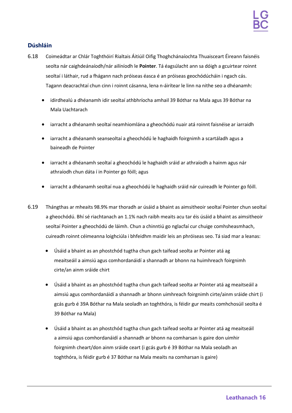## **Dúshláin**

- 6.18 Coimeádtar ar Chlár Toghthóirí Rialtais Áitiúil Oifig Thoghchánaíochta Thuaisceart Éireann faisnéis seolta nár caighdeánaíodh/nár ailíníodh le **Pointer**. Tá éagsúlacht ann sa dóigh a gcuirtear roinnt seoltaí i láthair, rud a fhágann nach próiseas éasca é an próiseas geochódúcháin i ngach cás. Tagann deacrachtaí chun cinn i roinnt cásanna, lena n-áirítear le linn na nithe seo a dhéanamh:
	- idirdhealú a dhéanamh idir seoltaí athbhríocha amhail 39 Bóthar na Mala agus 39 Bóthar na Mala Uachtarach
	- iarracht a dhéanamh seoltaí neamhiomlána a gheochódú nuair atá roinnt faisnéise ar iarraidh
	- iarracht a dhéanamh seanseoltaí a gheochódú le haghaidh foirgnimh a scartáladh agus a baineadh de Pointer
	- iarracht a dhéanamh seoltaí a gheochódú le haghaidh sráid ar athraíodh a hainm agus nár athraíodh chun dáta í in Pointer go fóill; agus
	- iarracht a dhéanamh seoltaí nua a gheochódú le haghaidh sráid nár cuireadh le Pointer go fóill.
- 6.19 Thángthas ar mheaits 98.9% mar thoradh ar úsáid a bhaint as aimsitheoir seoltaí Pointer chun seoltaí a gheochódú. Bhí sé riachtanach an 1.1% nach raibh meaits acu tar éis úsáid a bhaint as aimsitheoir seoltaí Pointer a gheochódú de láimh. Chun a chinntiú go nglacfaí cur chuige comhsheasmhach, cuireadh roinnt céimeanna loighciúla i bhfeidhm maidir leis an phróiseas seo. Tá siad mar a leanas:
	- Úsáid a bhaint as an phostchód tugtha chun gach taifead seolta ar Pointer atá ag meaitseáil a aimsiú agus comhordanáidí a shannadh ar bhonn na huimhreach foirgnimh cirte/an ainm sráide chirt
	- Úsáid a bhaint as an phostchód tugtha chun gach taifead seolta ar Pointer atá ag meaitseáil a aimsiú agus comhordanáidí a shannadh ar bhonn uimhreach foirgnimh cirte/ainm sráide chirt (i gcás gurb é 39A Bóthar na Mala seoladh an toghthóra, is féidir gur meaits comhchosúil seolta é 39 Bóthar na Mala)
	- Úsáid a bhaint as an phostchód tugtha chun gach taifead seolta ar Pointer atá ag meaitseáil a aimsiú agus comhordanáidí a shannadh ar bhonn na comharsan is gaire don uimhir foirgnimh cheart/don ainm sráide ceart (i gcás gurb é 39 Bóthar na Mala seoladh an toghthóra, is féidir gurb é 37 Bóthar na Mala meaits na comharsan is gaire)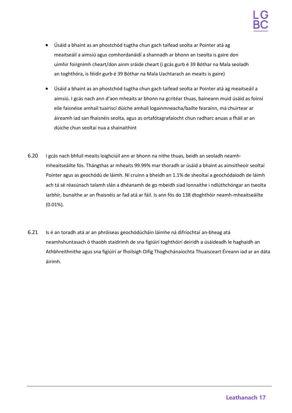- Úsáid a bhaint as an phostchód tugtha chun gach taifead seolta ar Pointer atá ag meaitseáil a aimsiú agus comhordanáidí a shannadh ar bhonn an tseolta is gaire don uimhir foirgnimh cheart/don ainm sráide cheart (i gcás gurb é 39 Bóthar na Mala seoladh an toghthóra, is féidir gurb é 39 Bóthar na Mala Uachtarach an meaits is gaire)
- Úsáid a bhaint as an phostchód tugtha chun gach taifead seolta ar Pointer atá ag meaitseáil a aimsiú. I gcás nach ann d'aon mheaits ar bhonn na gcritéar thuas, baineann muid úsáid as foinsí eile faisnéise amhail tuairiscí dúiche amhail logainmneacha/bailte fearainn, má chuirtear ar áireamh iad san fhaisnéis seolta, agus as ortafótagrafaíocht chun radharc anuas a fháil ar an dúiche chun seoltaí nua a shainaithint
- 6.20 I gcás nach bhfuil meaits loighciúil ann ar bhonn na nithe thuas, beidh an seoladh neamhmheaitseáilte fós. Thángthas ar mheaits 99.99% mar thoradh ar úsáid a bhaint as aimsitheoir seoltaí Pointer agus as geochódú de láimh. Ní cruinn a bheidh an 1.1% de sheoltaí a geochódaíodh de láimh ach tá sé réasúnach talamh slán a dhéanamh de go mbeidh siad lonnaithe i ndlúthchóngar an tseolta iarbhír, bunaithe ar an fhaisnéis ar fad atá ar fáil. Is ann fós do 138 dtoghthóir neamh-mheaitseáilte (0.01%).
- 6.21 Is é an toradh atá ar an phróiseas geochódúcháin láimhe ná difríochtaí an-bheag atá neamhshuntasach ó thaobh staidrimh de sna figiúirí toghthóirí deiridh a úsáideadh le haghaidh an Athbhreithnithe agus sna figiúirí ar fhoilsigh Oifig Thoghchánaíochta Thuaisceart Éireann iad ar an dáta áirimh.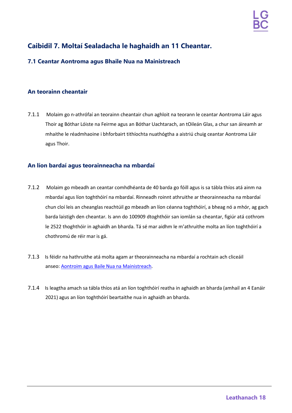## <span id="page-17-0"></span>**Caibidil 7. Moltaí Sealadacha le haghaidh an 11 Cheantar.**

## **7.1 Ceantar Aontroma agus Bhaile Nua na Mainistreach**

## **An teorainn cheantair**

7.1.1 Molaim go n-athrófaí an teorainn cheantair chun aghloit na teorann le ceantar Aontroma Láir agus Thoir ag Bóthar Lóiste na Feirme agus an Bóthar Uachtarach, an tOileán Glas, a chur san áireamh ar mhaithe le réadmhaoine i bhforbairt tithíochta nuathógtha a aistriú chuig ceantar Aontroma Láir agus Thoir.

- 7.1.2 Molaim go mbeadh an ceantar comhdhéanta de 40 barda go fóill agus is sa tábla thíos atá ainm na mbardaí agus líon toghthóirí na mbardaí. Rinneadh roinnt athruithe ar theorainneacha na mbardaí chun cloí leis an cheanglas reachtúil go mbeadh an líon céanna toghthóirí, a bheag nó a mhór, ag gach barda laistigh den cheantar. Is ann do 100909 dtoghthóir san iomlán sa cheantar, figiúr atá cothrom le 2522 thoghthóir in aghaidh an bharda. Tá sé mar aidhm le m'athruithe molta an líon toghthóirí a chothromú de réir mar is gá.
- 7.1.3 Is féidir na hathruithe atá molta agam ar theorainneacha na mbardaí a rochtain ach cliceáil anseo: [Aontroim](https://apps.spatialni.gov.uk/LGBC/LGBCPublicConsultationApp/index.html?extent=278095.3967%2C352799.5048%2C362497.6489%2C411007.9546%2C29900) agus Baile Nua [na Mainistreach.](https://apps.spatialni.gov.uk/LGBC/LGBCPublicConsultationApp/index.html?extent=278095.3967%2C352799.5048%2C362497.6489%2C411007.9546%2C29900)
- 7.1.4 Is leagtha amach sa tábla thíos atá an líon toghthóirí reatha in aghaidh an bharda (amhail an 4 Eanáir 2021) agus an líon toghthóirí beartaithe nua in aghaidh an bharda.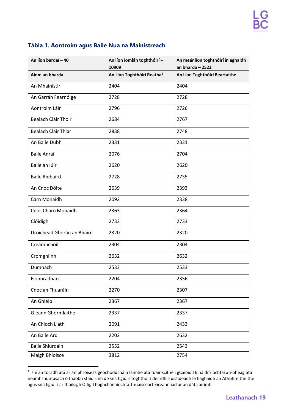## **Tábla 1. Aontroim agus Baile Nua na Mainistreach**

| An líon bardaí - 40        | An líon iomlán toghthóirí-<br>10909    | An meánlíon toghthóirí in aghaidh<br>an bharda $-2522$ |
|----------------------------|----------------------------------------|--------------------------------------------------------|
| Ainm an bharda             | An Líon Toghthóirí Reatha <sup>1</sup> | An Líon Toghthóirí Beartaithe                          |
| An Mhainistir              | 2404                                   | 2404                                                   |
| An Garrán Fearnóige        | 2728                                   | 2728                                                   |
| Aontroim Láir              | 2796                                   | 2726                                                   |
| Bealach Cláir Thoir        | 2684                                   | 2767                                                   |
| Bealach Cláir Thiar        | 2838                                   | 2748                                                   |
| An Baile Dubh              | 2331                                   | 2331                                                   |
| <b>Baile Anraí</b>         | 2076                                   | 2704                                                   |
| Baile an Iúir              | 2620                                   | 2620                                                   |
| <b>Baile Riobaird</b>      | 2728                                   | 2735                                                   |
| An Cnoc Dóite              | 2639                                   | 2393                                                   |
| Carn Monaidh               | 2092                                   | 2338                                                   |
| <b>Cnoc Charn Monaidh</b>  | 2363                                   | 2364                                                   |
| Clóidigh                   | 2733                                   | 2733                                                   |
| Droichead Ghorán an Bhaird | 2320                                   | 2320                                                   |
| Creamhchoill               | 2304                                   | 2304                                                   |
| Cromghlinn                 | 2632                                   | 2632                                                   |
| Dumhach                    | 2533                                   | 2533                                                   |
| Fionnradharc               | 2204                                   | 2356                                                   |
| Cnoc an Fhuaráin           | 2270                                   | 2307                                                   |
| An Ghléib                  | 2367                                   | 2367                                                   |
| <b>Gleann Ghormlaithe</b>  | 2337                                   | 2337                                                   |
| An Chloch Liath            | 2091                                   | 2433                                                   |
| An Baile Ard               | 2202                                   | 2632                                                   |
| Baile Shiurdáin            | 2552                                   | 2543                                                   |
| Maigh Bhloisce             | 3812                                   | 2754                                                   |

<sup>&</sup>lt;sup>1</sup> Is é an toradh atá ar an phróiseas geochódúcháin láimhe atá tuairiscithe i gCaibidil 6 ná difríochtaí an-bheag atá neamhshuntasach ó thaobh staidrimh de sna figiúirí toghthóirí deiridh a úsáideadh le haghaidh an Athbhreithnithe agus sna figiúirí ar fhoilsigh Oifig Thoghchánaíochta Thuaisceart Éireann iad ar an dáta áirimh.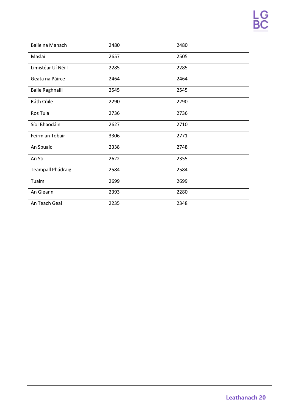| Baile na Manach          | 2480 | 2480 |
|--------------------------|------|------|
| Maslaí                   | 2657 | 2505 |
| Limistéar Uí Néill       | 2285 | 2285 |
| Geata na Páirce          | 2464 | 2464 |
| <b>Baile Raghnaill</b>   | 2545 | 2545 |
| Ráth Cúile               | 2290 | 2290 |
| Ros Tula                 | 2736 | 2736 |
| Síol Bhaodáin            | 2627 | 2710 |
| Feirm an Tobair          | 3306 | 2771 |
| An Spuaic                | 2338 | 2748 |
| An Stil                  | 2622 | 2355 |
| <b>Teampall Phádraig</b> | 2584 | 2584 |
| Tuaim                    | 2699 | 2699 |
| An Gleann                | 2393 | 2280 |
| An Teach Geal            | 2235 | 2348 |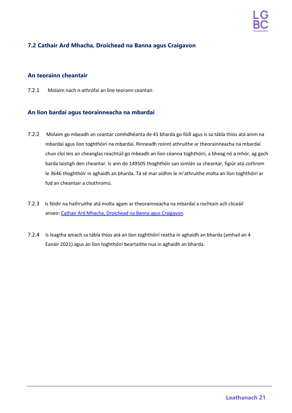## **7.2 Cathair Ard Mhacha, Droichead na Banna agus Craigavon**

## **An teorainn cheantair**

7.2.1 Molaim nach n-athrófaí an líne teorann ceantair.

- 7.2.2 Molaim go mbeadh an ceantar comhdhéanta de 41 bharda go fóill agus is sa tábla thíos atá ainm na mbardaí agus líon toghthóirí na mbardaí. Rinneadh roinnt athruithe ar theorainneacha na mbardaí chun cloí leis an cheanglas reachtúil go mbeadh an líon céanna toghthóirí, a bheag nó a mhór, ag gach barda laistigh den cheantar. Is ann do 149505 thoghthóir san iomlán sa cheantar, figiúr atá cothrom le 3646 thoghthóir in aghaidh an bharda. Tá sé mar aidhm le m'athruithe molta an líon toghthóirí ar fud an cheantair a chothromú.
- 7.2.3 Is féidir na hathruithe atá molta agam ar theorainneacha na mbardaí a rochtain ach cliceáil anseo: [Cathair Ard Mhacha, Droichead na Banna agus Craigavon.](https://apps.spatialni.gov.uk/LGBC/LGBCPublicConsultationApp/index.html?extent=261403.4106%2C319006.2547%2C345805.6627%2C377214.7044%2C29900)
- 7.2.4 Is leagtha amach sa tábla thíos atá an líon toghthóirí reatha in aghaidh an bharda (amhail an 4 Eanáir 2021) agus an líon toghthóirí beartaithe nua in aghaidh an bharda.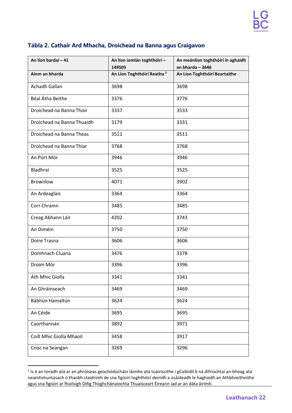|  |  |  |  | Tábla 2. Cathair Ard Mhacha, Droichead na Banna agus Craigavon |  |  |  |  |
|--|--|--|--|----------------------------------------------------------------|--|--|--|--|
|--|--|--|--|----------------------------------------------------------------|--|--|--|--|

| An líon bardaí - 41        | An líon iomlán toghthóirí -<br>149505  | An meánlíon toghthóirí in aghaidh<br>an bharda $-3646$ |
|----------------------------|----------------------------------------|--------------------------------------------------------|
| Ainm an bharda             | An Líon Toghthóirí Reatha <sup>2</sup> | An Líon Toghthóirí Beartaithe                          |
| Achadh Gallan              | 3698                                   | 3698                                                   |
| Béal Átha Beithe           | 3376                                   | 3776                                                   |
| Droichead na Banna Thoir   | 3337                                   | 3533                                                   |
| Droichead na Banna Thuaidh | 3179                                   | 3331                                                   |
| Droichead na Banna Theas   | 3511                                   | 3511                                                   |
| Droichead na Banna Thiar   | 3768                                   | 3768                                                   |
| An Port Mór                | 3946                                   | 3946                                                   |
| Bladhraí                   | 3525                                   | 3525                                                   |
| Brownlow                   | 4071                                   | 3902                                                   |
| An Ardeaglais              | 3364                                   | 3364                                                   |
| Corr Chrainn               | 3485                                   | 3485                                                   |
| Creag Abhann Láir          | 4202                                   | 3743                                                   |
| An Diméin                  | 3750                                   | 3750                                                   |
| Doire Trasna               | 3606                                   | 3606                                                   |
| Domhnach Cluana            | 3476                                   | 3378                                                   |
| Droim Mór                  | 3396                                   | 3396                                                   |
| Áth Mhic Giolla            | 3341                                   | 3341                                                   |
| An Ghráinseach             | 3469                                   | 3469                                                   |
| Bábhún Hamaltún            | 3624                                   | 3624                                                   |
| An Céide                   | 3695                                   | 3695                                                   |
| Caorthannán                | 3892                                   | 3971                                                   |
| Coill Mhic Giolla Mhaoil   | 3458                                   | 3917                                                   |
| Cnoc na Seangan            | 3269                                   | 3296                                                   |

 $2$  Is é an toradh atá ar an phróiseas geochódúcháin láimhe atá tuairiscithe i gCaibidil 6 ná difríochtaí an-bheag atá neamhshuntasach ó thaobh staidrimh de sna figiúirí toghthóirí deiridh a úsáideadh le haghaidh an Athbhreithnithe agus sna figiúirí ar fhoilsigh Oifig Thoghchánaíochta Thuaisceart Éireann iad ar an dáta áirimh.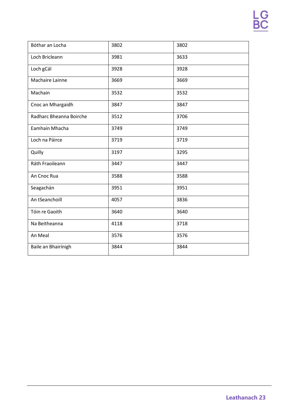| Bóthar an Locha         | 3802 | 3802 |
|-------------------------|------|------|
| Loch Bricleann          | 3981 | 3633 |
| Loch gCál               | 3928 | 3928 |
| Machaire Lainne         | 3669 | 3669 |
| Machain                 | 3532 | 3532 |
| Cnoc an Mhargaidh       | 3847 | 3847 |
| Radharc Bheanna Boirche | 3512 | 3706 |
| Eamhain Mhacha          | 3749 | 3749 |
| Loch na Páirce          | 3719 | 3719 |
| Quilly                  | 3197 | 3295 |
| Ráth Fraoileann         | 3447 | 3447 |
| An Cnoc Rua             | 3588 | 3588 |
| Seagachán               | 3951 | 3951 |
| An tSeanchoill          | 4057 | 3836 |
| Tóin re Gaoith          | 3640 | 3640 |
| Na Beitheanna           | 4118 | 3718 |
| An Meal                 | 3576 | 3576 |
| Baile an Bhairínigh     | 3844 | 3844 |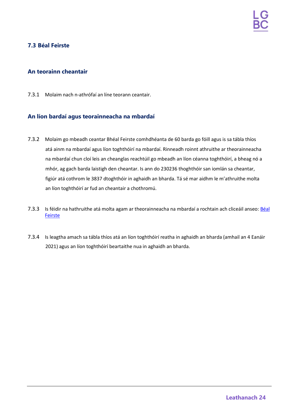## <span id="page-23-0"></span>**7.3 Béal Feirste**

### **An teorainn cheantair**

7.3.1 Molaim nach n-athrófaí an líne teorann ceantair.

- 7.3.2 Molaim go mbeadh ceantar Bhéal Feirste comhdhéanta de 60 barda go fóill agus is sa tábla thíos atá ainm na mbardaí agus líon toghthóirí na mbardaí. Rinneadh roinnt athruithe ar theorainneacha na mbardaí chun cloí leis an cheanglas reachtúil go mbeadh an líon céanna toghthóirí, a bheag nó a mhór, ag gach barda laistigh den cheantar. Is ann do 230236 thoghthóir san iomlán sa cheantar, figiúr atá cothrom le 3837 dtoghthóir in aghaidh an bharda. Tá sé mar aidhm le m'athruithe molta an líon toghthóirí ar fud an cheantair a chothromú.
- 7.3.3 Is féidir na hathruithe atá molta agam ar theorainneacha na mbardaí a rochtain ach cliceáil anseo: [Béal](https://apps.spatialni.gov.uk/LGBC/LGBCPublicConsultationApp/index.html?extent=316192.336%2C359924.6898%2C353022.4097%2C385324.7406%2C29900) [Feirste](https://apps.spatialni.gov.uk/LGBC/LGBCPublicConsultationApp/index.html?extent=316192.336%2C359924.6898%2C353022.4097%2C385324.7406%2C29900)
- 7.3.4 Is leagtha amach sa tábla thíos atá an líon toghthóirí reatha in aghaidh an bharda (amhail an 4 Eanáir 2021) agus an líon toghthóirí beartaithe nua in aghaidh an bharda.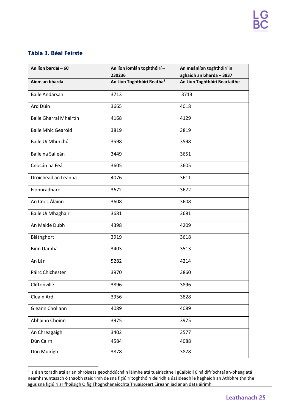## **Tábla 3. Béal Feirste**

| An líon bardaí - 60       | An líon iomlán toghthóirí -<br>230236  | An meánlíon toghthóirí in<br>aghaidh an bharda - 3837 |
|---------------------------|----------------------------------------|-------------------------------------------------------|
| Ainm an bharda            | An Líon Toghthóirí Reatha <sup>3</sup> | An Líon Toghthóirí Beartaithe                         |
| <b>Baile Andarsan</b>     | 3713                                   | 3713                                                  |
| Ard Dúin                  | 3665                                   | 4018                                                  |
| Baile Gharraí Mháirtín    | 4168                                   | 4129                                                  |
| <b>Baile Mhic Gearóid</b> | 3819                                   | 3819                                                  |
| Baile Uí Mhurchú          | 3598                                   | 3598                                                  |
| Baile na Saileán          | 3449                                   | 3651                                                  |
| Cnocán na Feá             | 3605                                   | 3605                                                  |
| Droichead an Leanna       | 4076                                   | 3611                                                  |
| Fionnradharc              | 3672                                   | 3672                                                  |
| An Cnoc Álainn            | 3608                                   | 3608                                                  |
| Baile Uí Mhaghair         | 3681                                   | 3681                                                  |
| An Maide Dubh             | 4398                                   | 4209                                                  |
| Bláthghort                | 3919                                   | 3618                                                  |
| <b>Binn Uamha</b>         | 3403                                   | 3513                                                  |
| An Lár                    | 5282                                   | 4214                                                  |
| Páirc Chichester          | 3970                                   | 3860                                                  |
| Cliftonville              | 3896                                   | 3896                                                  |
| Cluain Ard                | 3956                                   | 3828                                                  |
| Gleann Chollann           | 4089                                   | 4089                                                  |
| Abhainn Choinn            | 3975                                   | 3975                                                  |
| An Chreagaigh             | 3402                                   | 3577                                                  |
| Dún Cairn                 | 4584                                   | 4088                                                  |
| Dún Muirígh               | 3878                                   | 3878                                                  |

<sup>3</sup> Is é an toradh atá ar an phróiseas geochódúcháin láimhe atá tuairiscithe i gCaibidil 6 ná difríochtaí an-bheag atá neamhshuntasach ó thaobh staidrimh de sna figiúirí toghthóirí deiridh a úsáideadh le haghaidh an Athbhreithnithe agus sna figiúirí ar fhoilsigh Oifig Thoghchánaíochta Thuaisceart Éireann iad ar an dáta áirimh.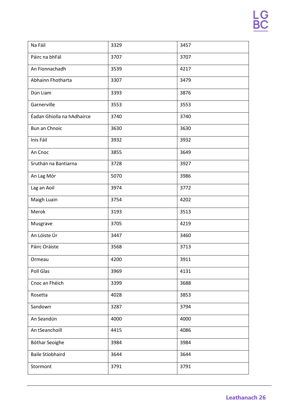| Na Fáil                    | 3329 | 3457 |
|----------------------------|------|------|
| Páirc na bhFál             | 3707 | 3707 |
| An Fionnachadh             | 3539 | 4217 |
| Abhainn Fhotharta          | 3307 | 3479 |
| Dún Liam                   | 3393 | 3876 |
| Garnerville                | 3553 | 3553 |
| Éadan Ghiolla na hAdhairce | 3740 | 3740 |
| Bun an Chnoic              | 3630 | 3630 |
| Inis Fáil                  | 3932 | 3932 |
| An Cnoc                    | 3855 | 3649 |
| Sruthán na Bantiarna       | 3728 | 3927 |
| An Lag Mór                 | 5070 | 3986 |
| Lag an Aoil                | 3974 | 3772 |
| Maigh Luain                | 3754 | 4202 |
| Merok                      | 3193 | 3513 |
| Musgrave                   | 3705 | 4219 |
| An Lóiste Úr               | 3447 | 3460 |
| Páirc Oráiste              | 3568 | 3713 |
| Ormeau                     | 4200 | 3911 |
| Poll Glas                  | 3969 | 4131 |
| Cnoc an Fhéich             | 3399 | 3688 |
| Rosetta                    | 4028 | 3853 |
| Sandown                    | 3287 | 3794 |
| An Seandún                 | 4000 | 4000 |
| An tSeanchoill             | 4415 | 4086 |
| Bóthar Seoighe             | 3984 | 3984 |
| Baile Stíobhaird           | 3644 | 3644 |
| Stormont                   | 3791 | 3791 |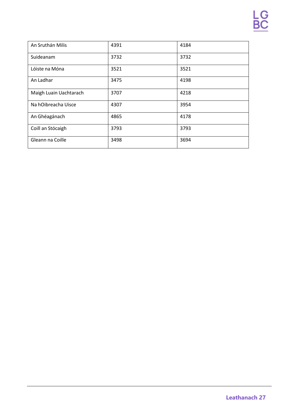| An Sruthán Milis       | 4391 | 4184 |
|------------------------|------|------|
| Suideanam              | 3732 | 3732 |
| Lóiste na Móna         | 3521 | 3521 |
| An Ladhar              | 3475 | 4198 |
| Maigh Luain Uachtarach | 3707 | 4218 |
| Na hOibreacha Uisce    | 4307 | 3954 |
| An Ghéagánach          | 4865 | 4178 |
| Coill an Stócaigh      | 3793 | 3793 |
| Gleann na Coille       | 3498 | 3694 |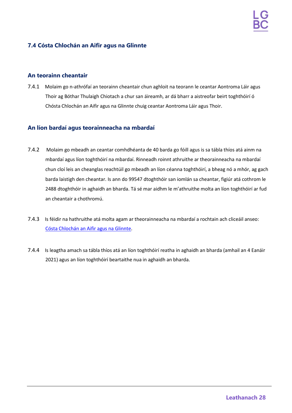## <span id="page-27-0"></span>**7.4 Cósta Chlochán an Aifir agus na Glinnte**

#### **An teorainn cheantair**

7.4.1 Molaim go n-athrófaí an teorainn cheantair chun aghloit na teorann le ceantar Aontroma Láir agus Thoir ag Bóthar Thulaigh Chiotach a chur san áireamh, ar dá bharr a aistreofar beirt toghthóirí ó Chósta Chlochán an Aifir agus na Glinnte chuig ceantar Aontroma Láir agus Thoir.

- 7.4.2 Molaim go mbeadh an ceantar comhdhéanta de 40 barda go fóill agus is sa tábla thíos atá ainm na mbardaí agus líon toghthóirí na mbardaí. Rinneadh roinnt athruithe ar theorainneacha na mbardaí chun cloí leis an cheanglas reachtúil go mbeadh an líon céanna toghthóirí, a bheag nó a mhór, ag gach barda laistigh den cheantar. Is ann do 99547 dtoghthóir san iomlán sa cheantar, figiúr atá cothrom le 2488 dtoghthóir in aghaidh an bharda. Tá sé mar aidhm le m'athruithe molta an líon toghthóirí ar fud an cheantair a chothromú.
- 7.4.3 Is féidir na hathruithe atá molta agam ar theorainneacha na mbardaí a rochtain ach cliceáil anseo: Cósta [Chlochán](https://apps.spatialni.gov.uk/LGBC/LGBCPublicConsultationApp/index.html?extent=254228.8649%2C394420.1572%2C338631.117%2C452628.607%2C29900) an Aifir [agus na Glinnte.](https://apps.spatialni.gov.uk/LGBC/LGBCPublicConsultationApp/index.html?extent=254228.8649%2C394420.1572%2C338631.117%2C452628.607%2C29900)
- 7.4.4 Is leagtha amach sa tábla thíos atá an líon toghthóirí reatha in aghaidh an bharda (amhail an 4 Eanáir 2021) agus an líon toghthóirí beartaithe nua in aghaidh an bharda.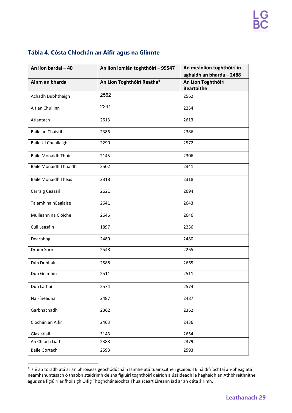## **Tábla 4. Cósta Chlochán an Aifir agus na Glinnte**

| An líon bardaí - 40          | An líon iomlán toghthóirí - 99547      | An meánlíon toghthóirí in<br>aghaidh an bharda - 2488 |
|------------------------------|----------------------------------------|-------------------------------------------------------|
| Ainm an bharda               | An Líon Toghthóirí Reatha <sup>4</sup> | An Líon Toghthóirí<br><b>Beartaithe</b>               |
| Achadh Dubhthaigh            | 2562                                   | 2562                                                  |
| Alt an Chuilinn              | 2241                                   | 2254                                                  |
| Atlantach                    | 2613                                   | 2613                                                  |
| Baile an Chaistil            | 2386                                   | 2386                                                  |
| Baile Uí Cheallaigh          | 2290                                   | 2572                                                  |
| <b>Baile Monaidh Thoir</b>   | 2145                                   | 2306                                                  |
| <b>Baile Monaidh Thuaidh</b> | 2502                                   | 2341                                                  |
| <b>Baile Monaidh Theas</b>   | 2318                                   | 2318                                                  |
| Carraig Ceasail              | 2621                                   | 2694                                                  |
| Talamh na hEaglaise          | 2641                                   | 2643                                                  |
| Muileann na Cloiche          | 2646                                   | 2646                                                  |
| Cúil Leasáin                 | 1897                                   | 2256                                                  |
| Dearbhóg                     | 2480                                   | 2480                                                  |
| Droim Sorn                   | 2548                                   | 2265                                                  |
| Dún Dubháin                  | 2588                                   | 2665                                                  |
| Dún Geimhin                  | 2511                                   | 2511                                                  |
| Dún Lathaí                   | 2574                                   | 2574                                                  |
| Na Fíneadha                  | 2487                                   | 2487                                                  |
| Garbhachadh                  | 2362                                   | 2362                                                  |
| Clochán an Aifir             | 2463                                   | 2436                                                  |
| Glas-stiall                  | 3143                                   | 2654                                                  |
| An Chloch Liath              | 2388                                   | 2379                                                  |
| <b>Baile Gortach</b>         | 2593                                   | 2593                                                  |

<sup>4</sup> Is é an toradh atá ar an phróiseas geochódúcháin láimhe atá tuairiscithe i gCaibidil 6 ná difríochtaí an-bheag atá neamhshuntasach ó thaobh staidrimh de sna figiúirí toghthóirí deiridh a úsáideadh le haghaidh an Athbhreithnithe agus sna figiúirí ar fhoilsigh Oifig Thoghchánaíochta Thuaisceart Éireann iad ar an dáta áirimh.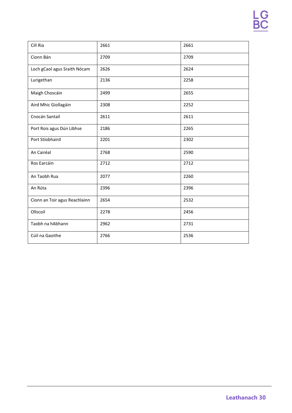| Cill Ria                      | 2661 | 2661 |
|-------------------------------|------|------|
| Cionn Bán                     | 2709 | 2709 |
| Loch gCaol agus Sraith Nócam  | 2626 | 2624 |
| Lurigethan                    | 2136 | 2258 |
| Maigh Choscáin                | 2499 | 2655 |
| Aird Mhic Giollagáin          | 2308 | 2252 |
| Cnocán Santail                | 2611 | 2611 |
| Port Rois agus Dún Libhse     | 2186 | 2265 |
| Port Stíobhaird               | 2201 | 2302 |
| An Cairéal                    | 2768 | 2590 |
| Ros Earcáin                   | 2712 | 2712 |
| An Taobh Rua                  | 2077 | 2260 |
| An Rúta                       | 2396 | 2396 |
| Cionn an Toir agus Reachlainn | 2654 | 2532 |
| Ollscoil                      | 2278 | 2456 |
| Taobh na hAbhann              | 2962 | 2731 |
| Cúil na Gaoithe               | 2766 | 2536 |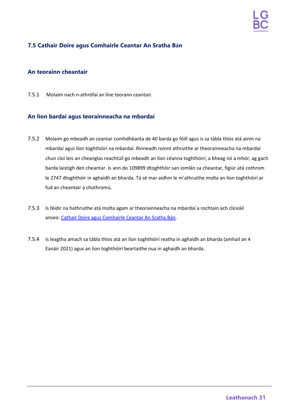## **7.5 Cathair Doire agus Comhairle Ceantar An Sratha Bán**

### **An teorainn cheantair**

7.5.1 Molaim nach n-athrófaí an líne teorann ceantair.

- 7.5.2 Molaim go mbeadh an ceantar comhdhéanta de 40 barda go fóill agus is sa tábla thíos atá ainm na mbardaí agus líon toghthóirí na mbardaí. Rinneadh roinnt athruithe ar theorainneacha na mbardaí chun cloí leis an cheanglas reachtúil go mbeadh an líon céanna toghthóirí, a bheag nó a mhór, ag gach barda laistigh den cheantar. Is ann do 109899 dtoghthóir san iomlán sa cheantar, figiúr atá cothrom le 2747 dtoghthóir in aghaidh an bharda. Tá sé mar aidhm le m'athruithe molta an líon toghthóirí ar fud an cheantair a chothromú.
- 7.5.3 Is féidir na hathruithe atá molta agam ar theorainneacha na mbardaí a rochtain ach cliceáil anseo: [Cathair Doire agus Comhairle Ceantar An Sratha Bán.](https://apps.spatialni.gov.uk/LGBC/LGBCPublicConsultationApp/index.html?extent=204271.6747%2C367768.2892%2C288673.9268%2C425976.7389%2C29900)
- 7.5.4 Is leagtha amach sa tábla thíos atá an líon toghthóirí reatha in aghaidh an bharda (amhail an 4 Eanáir 2021) agus an líon toghthóirí beartaithe nua in aghaidh an bharda.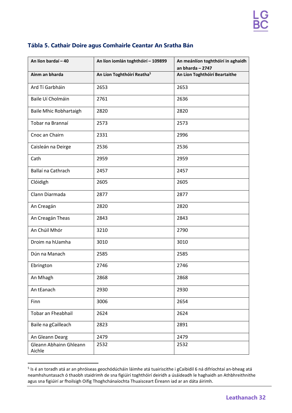| An líon bardaí - 40              | An líon iomlán toghthóirí - 109899     | An meánlíon toghthóirí in aghaidh<br>an bharda $-2747$ |
|----------------------------------|----------------------------------------|--------------------------------------------------------|
| Ainm an bharda                   | An Líon Toghthóirí Reatha <sup>5</sup> | An Líon Toghthóirí Beartaithe                          |
| Ard Tí Garbháin                  | 2653                                   | 2653                                                   |
| Baile Uí Cholmáin                | 2761                                   | 2636                                                   |
| Baile Mhic Robhartaigh           | 2820                                   | 2820                                                   |
| Tobar na Brannaí                 | 2573                                   | 2573                                                   |
| Cnoc an Chairn                   | 2331                                   | 2996                                                   |
| Caisleán na Deirge               | 2536                                   | 2536                                                   |
| Cath                             | 2959                                   | 2959                                                   |
| Ballaí na Cathrach               | 2457                                   | 2457                                                   |
| Clóidigh                         | 2605                                   | 2605                                                   |
| Clann Diarmada                   | 2877                                   | 2877                                                   |
| An Creagán                       | 2820                                   | 2820                                                   |
| An Creagán Theas                 | 2843                                   | 2843                                                   |
| An Chúil Mhór                    | 3210                                   | 2790                                                   |
| Droim na hUamha                  | 3010                                   | 3010                                                   |
| Dún na Manach                    | 2585                                   | 2585                                                   |
| Ebrington                        | 2746                                   | 2746                                                   |
| An Mhagh                         | 2868                                   | 2868                                                   |
| An tEanach                       | 2930                                   | 2930                                                   |
| Finn                             | 3006                                   | 2654                                                   |
| Tobar an Fheabhail               | 2624                                   | 2624                                                   |
| Baile na gCailleach              | 2823                                   | 2891                                                   |
| An Gleann Dearg                  | 2479                                   | 2479                                                   |
| Gleann Abhainn Ghleann<br>Aichle | 2532                                   | 2532                                                   |

## **Tábla 5. Cathair Doire agus Comhairle Ceantar An Sratha Bán**

<sup>5</sup> Is é an toradh atá ar an phróiseas geochódúcháin láimhe atá tuairiscithe i gCaibidil 6 ná difríochtaí an-bheag atá neamhshuntasach ó thaobh staidrimh de sna figiúirí toghthóirí deiridh a úsáideadh le haghaidh an Athbhreithnithe agus sna figiúirí ar fhoilsigh Oifig Thoghchánaíochta Thuaisceart Éireann iad ar an dáta áirimh.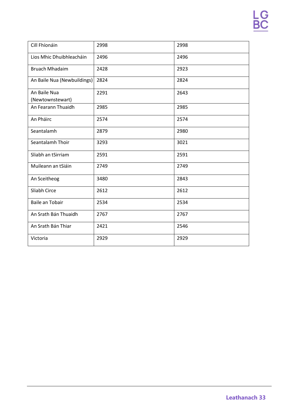| Cill Fhíonáin                    | 2998 | 2998 |
|----------------------------------|------|------|
| Lios Mhic Dhuibhleacháin         | 2496 | 2496 |
| <b>Bruach Mhadaim</b>            | 2428 | 2923 |
| An Baile Nua (Newbuildings)      | 2824 | 2824 |
| An Baile Nua<br>(Newtownstewart) | 2291 | 2643 |
| An Fearann Thuaidh               | 2985 | 2985 |
| An Pháirc                        | 2574 | 2574 |
| Seantalamh                       | 2879 | 2980 |
| Seantalamh Thoir                 | 3293 | 3021 |
| Sliabh an tSirriam               | 2591 | 2591 |
| Muileann an tSiáin               | 2749 | 2749 |
| An Sceitheog                     | 3480 | 2843 |
| Sliabh Circe                     | 2612 | 2612 |
| Baile an Tobair                  | 2534 | 2534 |
| An Srath Bán Thuaidh             | 2767 | 2767 |
| An Srath Bán Thiar               | 2421 | 2546 |
| Victoria                         | 2929 | 2929 |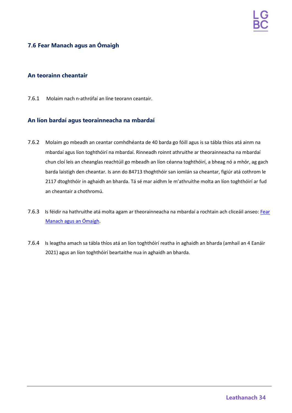## <span id="page-33-0"></span>**7.6 Fear Manach agus an Ómaigh**

#### **An teorainn cheantair**

7.6.1 Molaim nach n-athrófaí an líne teorann ceantair.

- 7.6.2 Molaim go mbeadh an ceantar comhdhéanta de 40 barda go fóill agus is sa tábla thíos atá ainm na mbardaí agus líon toghthóirí na mbardaí. Rinneadh roinnt athruithe ar theorainneacha na mbardaí chun cloí leis an cheanglas reachtúil go mbeadh an líon céanna toghthóirí, a bheag nó a mhór, ag gach barda laistigh den cheantar. Is ann do 84713 thoghthóir san iomlán sa cheantar, figiúr atá cothrom le 2117 dtoghthóir in aghaidh an bharda. Tá sé mar aidhm le m'athruithe molta an líon toghthóirí ar fud an cheantair a chothromú.
- 7.6.3 Is féidir na hathruithe atá molta agam ar theorainneacha na mbardaí a rochtain ach cliceáil anseo: [Fear](https://apps.spatialni.gov.uk/LGBC/LGBCPublicConsultationApp/index.html?extent=145431.877%2C296118.7957%2C314236.3812%2C412535.6952%2C29900) [Manach](https://apps.spatialni.gov.uk/LGBC/LGBCPublicConsultationApp/index.html?extent=145431.877%2C296118.7957%2C314236.3812%2C412535.6952%2C29900) agus an [Ómaigh.](https://apps.spatialni.gov.uk/LGBC/LGBCPublicConsultationApp/index.html?extent=145431.877%2C296118.7957%2C314236.3812%2C412535.6952%2C29900)
- 7.6.4 Is leagtha amach sa tábla thíos atá an líon toghthóirí reatha in aghaidh an bharda (amhail an 4 Eanáir 2021) agus an líon toghthóirí beartaithe nua in aghaidh an bharda.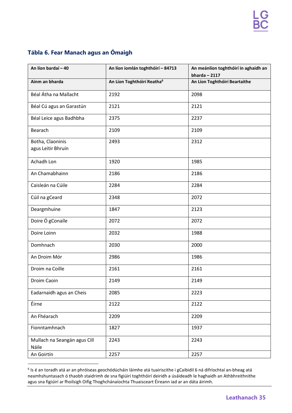## **Tábla 6. Fear Manach agus an Ómaigh**

| An líon bardaí - 40                    | An líon iomlán toghthóirí - 84713      | An meánlíon toghthóirí in aghaidh an<br>$bharda - 2117$ |
|----------------------------------------|----------------------------------------|---------------------------------------------------------|
| Ainm an bharda                         | An Líon Toghthóirí Reatha <sup>6</sup> | An Líon Toghthóirí Beartaithe                           |
| Béal Átha na Mallacht                  | 2192                                   | 2098                                                    |
| Béal Cú agus an Garastún               | 2121                                   | 2121                                                    |
| Béal Leice agus Badhbha                | 2375                                   | 2237                                                    |
| Bearach                                | 2109                                   | 2109                                                    |
| Botha, Claoninis<br>agus Leitir Bhruín | 2493                                   | 2312                                                    |
| Achadh Lon                             | 1920                                   | 1985                                                    |
| An Chamabhainn                         | 2186                                   | 2186                                                    |
| Caisleán na Cúile                      | 2284                                   | 2284                                                    |
| Cúil na gCeard                         | 2348                                   | 2072                                                    |
| Deargmhuine                            | 1847                                   | 2123                                                    |
| Doire Ó gConaíle                       | 2072                                   | 2072                                                    |
| Doire Loinn                            | 2032                                   | 1988                                                    |
| Domhnach                               | 2030                                   | 2000                                                    |
| An Droim Mór                           | 2986                                   | 1986                                                    |
| Droim na Coille                        | 2161                                   | 2161                                                    |
| Droim Caoin                            | 2149                                   | 2149                                                    |
| Eadarnaidh agus an Cheis               | 2085                                   | 2223                                                    |
| Éirne                                  | 2122                                   | 2122                                                    |
| An Fhéarach                            | 2209                                   | 2209                                                    |
| Fionntamhnach                          | 1827                                   | 1937                                                    |
| Mullach na Seangán agus Cill<br>Náile  | 2243                                   | 2243                                                    |
| An Goirtín                             | 2257                                   | 2257                                                    |

<sup>6</sup> Is é an toradh atá ar an phróiseas geochódúcháin láimhe atá tuairiscithe i gCaibidil 6 ná difríochtaí an-bheag atá neamhshuntasach ó thaobh staidrimh de sna figiúirí toghthóirí deiridh a úsáideadh le haghaidh an Athbhreithnithe agus sna figiúirí ar fhoilsigh Oifig Thoghchánaíochta Thuaisceart Éireann iad ar an dáta áirimh.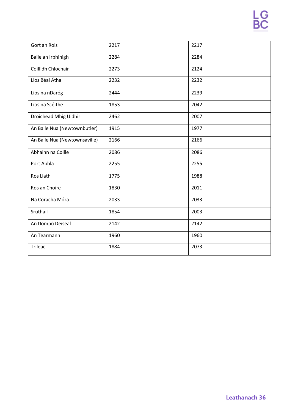| Gort an Rois                  | 2217 | 2217 |
|-------------------------------|------|------|
| Baile an Irbhinigh            | 2284 | 2284 |
| Coillidh Chlochair            | 2273 | 2124 |
| Lios Béal Átha                | 2232 | 2232 |
| Lios na nDaróg                | 2444 | 2239 |
| Lios na Scéithe               | 1853 | 2042 |
| Droichead Mhig Uidhir         | 2462 | 2007 |
| An Baile Nua (Newtownbutler)  | 1915 | 1977 |
| An Baile Nua (Newtownsaville) | 2166 | 2166 |
| Abhainn na Coille             | 2086 | 2086 |
| Port Abhla                    | 2255 | 2255 |
| Ros Liath                     | 1775 | 1988 |
| Ros an Choire                 | 1830 | 2011 |
| Na Coracha Móra               | 2033 | 2033 |
| Sruthail                      | 1854 | 2003 |
| An tIompú Deiseal             | 2142 | 2142 |
| An Tearmann                   | 1960 | 1960 |
| <b>Trileac</b>                | 1884 | 2073 |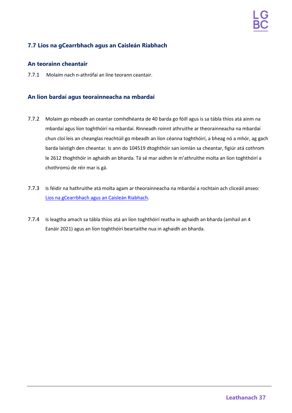## <span id="page-36-0"></span>**7.7 Lios na gCearrbhach agus an Caisleán Riabhach**

## **An teorainn cheantair**

7.7.1 Molaim nach n-athrófaí an líne teorann ceantair.

- 7.7.2 Molaim go mbeadh an ceantar comhdhéanta de 40 barda go fóill agus is sa tábla thíos atá ainm na mbardaí agus líon toghthóirí na mbardaí. Rinneadh roinnt athruithe ar theorainneacha na mbardaí chun cloí leis an cheanglas reachtúil go mbeadh an líon céanna toghthóirí, a bheag nó a mhór, ag gach barda laistigh den cheantar. Is ann do 104519 dtoghthóir san iomlán sa cheantar, figiúr atá cothrom le 2612 thoghthóir in aghaidh an bharda. Tá sé mar aidhm le m'athruithe molta an líon toghthóirí a chothromú de réir mar is gá.
- 7.7.3 Is féidir na hathruithe atá molta agam ar theorainneacha na mbardaí a rochtain ach cliceáil anseo: Lios na [gCearrbhach](https://apps.spatialni.gov.uk/LGBC/LGBCPublicConsultationApp/index.html?extent=308976.454%2C349373.1786%2C345806.5277%2C374773.2294%2C29900) agus an Caisleán [Riabhach.](https://apps.spatialni.gov.uk/LGBC/LGBCPublicConsultationApp/index.html?extent=308976.454%2C349373.1786%2C345806.5277%2C374773.2294%2C29900)
- 7.7.4 Is leagtha amach sa tábla thíos atá an líon toghthóirí reatha in aghaidh an bharda (amhail an 4 Eanáir 2021) agus an líon toghthóirí beartaithe nua in aghaidh an bharda.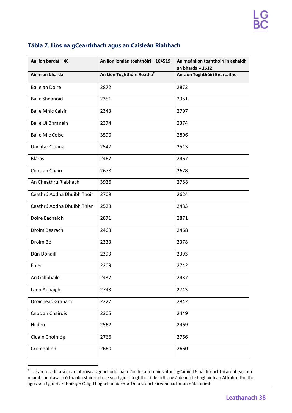| An líon bardaí - 40        | An líon iomlán toghthóirí - 104519     | An meánlíon toghthóirí in aghaidh |
|----------------------------|----------------------------------------|-----------------------------------|
|                            |                                        | an bharda $-2612$                 |
| Ainm an bharda             | An Líon Toghthóirí Reatha <sup>7</sup> | An Líon Toghthóirí Beartaithe     |
| <b>Baile an Doire</b>      | 2872                                   | 2872                              |
| <b>Baile Sheanóid</b>      | 2351                                   | 2351                              |
| <b>Baile Mhic Caisín</b>   | 2343                                   | 2797                              |
| Baile Uí Bhranáin          | 2374                                   | 2374                              |
| <b>Baile Mic Coise</b>     | 3590                                   | 2806                              |
| Uachtar Cluana             | 2547                                   | 2513                              |
| <b>Bláras</b>              | 2467                                   | 2467                              |
| Cnoc an Chairn             | 2678                                   | 2678                              |
| An Cheathrú Riabhach       | 3936                                   | 2788                              |
| Ceathrú Aodha Dhuibh Thoir | 2709                                   | 2624                              |
| Ceathrú Aodha Dhuibh Thiar | 2528                                   | 2483                              |
| Doire Eachaidh             | 2871                                   | 2871                              |
| Droim Bearach              | 2468                                   | 2468                              |
| Droim Bó                   | 2333                                   | 2378                              |
| Dún Dónaill                | 2393                                   | 2393                              |
| Enler                      | 2209                                   | 2742                              |
| An Gallbhaile              | 2437                                   | 2437                              |
| Lann Abhaigh               | 2743                                   | 2743                              |
| Droichead Graham           | 2227                                   | 2842                              |
| Cnoc an Chairdis           | 2305                                   | 2449                              |
| Hilden                     | 2562                                   | 2469                              |
| Cluain Cholmóg             | 2766                                   | 2766                              |
| Cromghlinn                 | 2660                                   | 2660                              |

## **Tábla 7. Lios na gCearrbhach agus an Caisleán Riabhach**

 $^7$  Is é an toradh atá ar an phróiseas geochódúcháin láimhe atá tuairiscithe i gCaibidil 6 ná difríochtaí an-bheag atá neamhshuntasach ó thaobh staidrimh de sna figiúirí toghthóirí deiridh a úsáideadh le haghaidh an Athbhreithnithe agus sna figiúirí ar fhoilsigh Oifig Thoghchánaíochta Thuaisceart Éireann iad ar an dáta áirimh.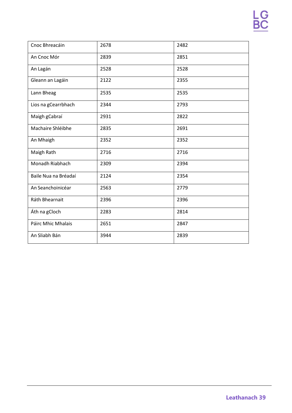| Cnoc Bhreacáin       | 2678 | 2482 |
|----------------------|------|------|
| An Cnoc Mór          | 2839 | 2851 |
| An Lagán             | 2528 | 2528 |
| Gleann an Lagáin     | 2122 | 2355 |
| Lann Bheag           | 2535 | 2535 |
| Lios na gCearrbhach  | 2344 | 2793 |
| Maigh gCabraí        | 2931 | 2822 |
| Machaire Shléibhe    | 2835 | 2691 |
| An Mhaigh            | 2352 | 2352 |
| Maigh Rath           | 2716 | 2716 |
| Monadh Riabhach      | 2309 | 2394 |
| Baile Nua na Bréadaí | 2124 | 2354 |
| An Seanchoinicéar    | 2563 | 2779 |
| Ráth Bhearnait       | 2396 | 2396 |
| Áth na gCloch        | 2283 | 2814 |
| Páirc Mhic Mhalais   | 2651 | 2847 |
| An Sliabh Bán        | 3944 | 2839 |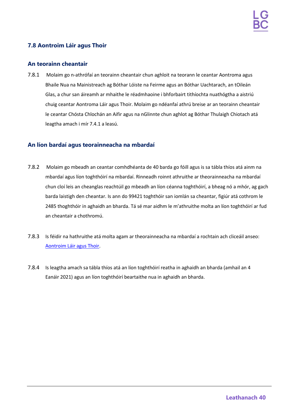## <span id="page-39-0"></span>**7.8 Aontroim Láir agus Thoir**

### **An teorainn cheantair**

7.8.1 Molaim go n-athrófaí an teorainn cheantair chun aghloit na teorann le ceantar Aontroma agus Bhaile Nua na Mainistreach ag Bóthar Lóiste na Feirme agus an Bóthar Uachtarach, an tOileán Glas, a chur san áireamh ar mhaithe le réadmhaoine i bhforbairt tithíochta nuathógtha a aistriú chuig ceantar Aontroma Láir agus Thoir. Molaim go ndéanfaí athrú breise ar an teorainn cheantair le ceantar Chósta Chlochán an Aifir agus na nGlinnte chun aghlot ag Bóthar Thulaigh Chiotach atá leagtha amach i mír 7.4.1 a leasú.

- 7.8.2 Molaim go mbeadh an ceantar comhdhéanta de 40 barda go fóill agus is sa tábla thíos atá ainm na mbardaí agus líon toghthóirí na mbardaí. Rinneadh roinnt athruithe ar theorainneacha na mbardaí chun cloí leis an cheanglas reachtúil go mbeadh an líon céanna toghthóirí, a bheag nó a mhór, ag gach barda laistigh den cheantar. Is ann do 99421 toghthóir san iomlán sa cheantar, figiúr atá cothrom le 2485 thoghthóir in aghaidh an bharda. Tá sé mar aidhm le m'athruithe molta an líon toghthóirí ar fud an cheantair a chothromú.
- 7.8.3 Is féidir na hathruithe atá molta agam ar theorainneacha na mbardaí a rochtain ach cliceáil anseo: [Aontroim](https://apps.spatialni.gov.uk/LGBC/LGBCPublicConsultationApp/index.html?extent=276541.1183%2C376256.6649%2C360943.3705%2C434465.1147%2C29900) Láir [agus Thoir.](https://apps.spatialni.gov.uk/LGBC/LGBCPublicConsultationApp/index.html?extent=276541.1183%2C376256.6649%2C360943.3705%2C434465.1147%2C29900)
- 7.8.4 Is leagtha amach sa tábla thíos atá an líon toghthóirí reatha in aghaidh an bharda (amhail an 4 Eanáir 2021) agus an líon toghthóirí beartaithe nua in aghaidh an bharda.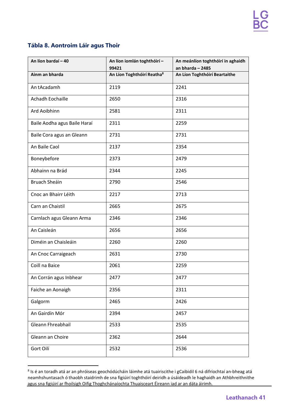## **Tábla 8. Aontroim Láir agus Thoir**

| An líon bardaí - 40          | An líon iomlán toghthóirí -<br>99421   | An meánlíon toghthóirí in aghaidh<br>an bharda $-2485$ |
|------------------------------|----------------------------------------|--------------------------------------------------------|
| Ainm an bharda               | An Líon Toghthóirí Reatha <sup>8</sup> | An Líon Toghthóirí Beartaithe                          |
| An tAcadamh                  | 2119                                   | 2241                                                   |
| Achadh Eochaille             | 2650                                   | 2316                                                   |
| Ard Aoibhinn                 | 2581                                   | 2311                                                   |
| Baile Aodha agus Baile Haraí | 2311                                   | 2259                                                   |
| Baile Cora agus an Gleann    | 2731                                   | 2731                                                   |
| An Baile Caol                | 2137                                   | 2354                                                   |
| Boneybefore                  | 2373                                   | 2479                                                   |
| Abhainn na Brád              | 2344                                   | 2245                                                   |
| Bruach Sheáin                | 2790                                   | 2546                                                   |
| Cnoc an Bhairr Léith         | 2217                                   | 2713                                                   |
| Carn an Chaistil             | 2665                                   | 2675                                                   |
| Carnlach agus Gleann Arma    | 2346                                   | 2346                                                   |
| An Caisleán                  | 2656                                   | 2656                                                   |
| Diméin an Chaisleáin         | 2260                                   | 2260                                                   |
| An Cnoc Carraigeach          | 2631                                   | 2730                                                   |
| Coill na Baice               | 2061                                   | 2259                                                   |
| An Corrán agus Inbhear       | 2477                                   | 2477                                                   |
| Faiche an Aonaigh            | 2356                                   | 2311                                                   |
| Galgorm                      | 2465                                   | 2426                                                   |
| An Gairdín Mór               | 2394                                   | 2457                                                   |
| Gleann Fhreabhail            | 2533                                   | 2535                                                   |
| Gleann an Choire             | 2362                                   | 2644                                                   |
| Gort Oilí                    | 2532                                   | 2536                                                   |

<sup>8</sup> Is é an toradh atá ar an phróiseas geochódúcháin láimhe atá tuairiscithe i gCaibidil 6 ná difríochtaí an-bheag atá neamhshuntasach ó thaobh staidrimh de sna figiúirí toghthóirí deiridh a úsáideadh le haghaidh an Athbhreithnithe agus sna figiúirí ar fhoilsigh Oifig Thoghchánaíochta Thuaisceart Éireann iad ar an dáta áirimh.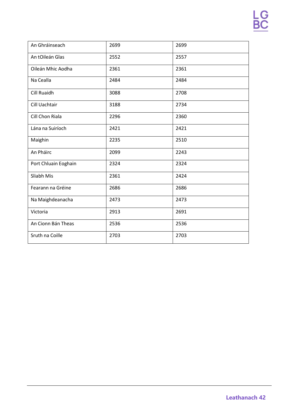| An Ghráinseach       | 2699 | 2699 |
|----------------------|------|------|
| An tOileán Glas      | 2552 | 2557 |
| Oileán Mhic Aodha    | 2361 | 2361 |
| Na Cealla            | 2484 | 2484 |
| <b>Cill Ruaidh</b>   | 3088 | 2708 |
| Cill Uachtair        | 3188 | 2734 |
| Cill Chon Riala      | 2296 | 2360 |
| Lána na Suiríoch     | 2421 | 2421 |
| Maighin              | 2235 | 2510 |
| An Pháirc            | 2099 | 2243 |
| Port Chluain Eoghain | 2324 | 2324 |
| Sliabh Mis           | 2361 | 2424 |
| Fearann na Gréine    | 2686 | 2686 |
| Na Maighdeanacha     | 2473 | 2473 |
| Victoria             | 2913 | 2691 |
| An Cionn Bán Theas   | 2536 | 2536 |
| Sruth na Coille      | 2703 | 2703 |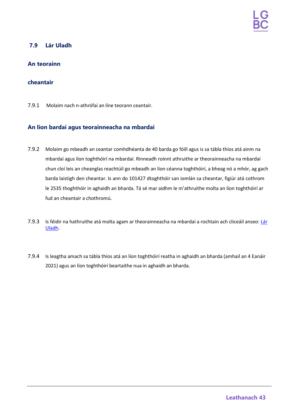## <span id="page-42-0"></span>**7.9 Lár Uladh**

## **An teorainn**

### **cheantair**

7.9.1 Molaim nach n-athrófaí an líne teorann ceantair.

- 7.9.2 Molaim go mbeadh an ceantar comhdhéanta de 40 barda go fóill agus is sa tábla thíos atá ainm na mbardaí agus líon toghthóirí na mbardaí. Rinneadh roinnt athruithe ar theorainneacha na mbardaí chun cloí leis an cheanglas reachtúil go mbeadh an líon céanna toghthóirí, a bheag nó a mhór, ag gach barda laistigh den cheantar. Is ann do 101427 dtoghthóir san iomlán sa cheantar, figiúr atá cothrom le 2535 thoghthóir in aghaidh an bharda. Tá sé mar aidhm le m'athruithe molta an líon toghthóirí ar fud an cheantair a chothromú.
- 7.9.3 Is féidir na hathruithe atá molta agam ar theorainneacha na mbardaí a rochtain ach cliceáil anseo: [Lár](https://apps.spatialni.gov.uk/LGBC/LGBCPublicConsultationApp/index.html?extent=242560.3418%2C349000.592%2C326962.594%2C407209.0417%2C29900) [Uladh.](https://apps.spatialni.gov.uk/LGBC/LGBCPublicConsultationApp/index.html?extent=242560.3418%2C349000.592%2C326962.594%2C407209.0417%2C29900)
- 7.9.4 Is leagtha amach sa tábla thíos atá an líon toghthóirí reatha in aghaidh an bharda (amhail an 4 Eanáir 2021) agus an líon toghthóirí beartaithe nua in aghaidh an bharda.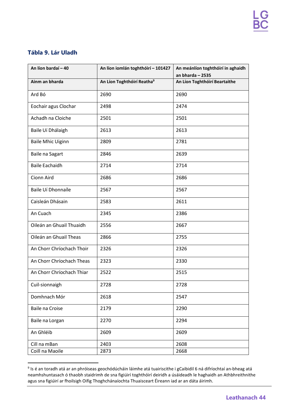## **Tábla 9. Lár Uladh**

| An líon bardaí - 40       | An líon iomlán toghthóirí - 101427     | An meánlíon toghthóirí in aghaidh<br>an bharda $-2535$ |
|---------------------------|----------------------------------------|--------------------------------------------------------|
| Ainm an bharda            | An Líon Toghthóirí Reatha <sup>9</sup> | An Líon Toghthóirí Beartaithe                          |
| Ard Bó                    | 2690                                   | 2690                                                   |
| Eochair agus Clochar      | 2498                                   | 2474                                                   |
| Achadh na Cloiche         | 2501                                   | 2501                                                   |
| Baile Uí Dhálaigh         | 2613                                   | 2613                                                   |
| <b>Baile Mhic Uiginn</b>  | 2809                                   | 2781                                                   |
| Baile na Sagart           | 2846                                   | 2639                                                   |
| <b>Baile Eachaidh</b>     | 2714                                   | 2714                                                   |
| Cionn Aird                | 2686                                   | 2686                                                   |
| Baile Uí Dhonnaíle        | 2567                                   | 2567                                                   |
| Caisleán Dhásain          | 2583                                   | 2611                                                   |
| An Cuach                  | 2345                                   | 2386                                                   |
| Oileán an Ghuail Thuaidh  | 2556                                   | 2667                                                   |
| Oileán an Ghuail Theas    | 2866                                   | 2755                                                   |
| An Chorr Chríochach Thoir | 2326                                   | 2326                                                   |
| An Chorr Chríochach Theas | 2323                                   | 2330                                                   |
| An Chorr Chríochach Thiar | 2522                                   | 2515                                                   |
| Cuil-sionnaigh            | 2728                                   | 2728                                                   |
| Domhnach Mór              | 2618                                   | 2547                                                   |
| Baile na Croise           | 2179                                   | 2290                                                   |
| Baile na Lorgan           | 2270                                   | 2294                                                   |
| An Ghléib                 | 2609                                   | 2609                                                   |
| Cill na mBan              | 2403                                   | 2608                                                   |
| Coill na Maoile           | 2873                                   | 2668                                                   |

 $9$  Is é an toradh atá ar an phróiseas geochódúcháin láimhe atá tuairiscithe i gCaibidil 6 ná difríochtaí an-bheag atá neamhshuntasach ó thaobh staidrimh de sna figiúirí toghthóirí deiridh a úsáideadh le haghaidh an Athbhreithnithe agus sna figiúirí ar fhoilsigh Oifig Thoghchánaíochta Thuaisceart Éireann iad ar an dáta áirimh.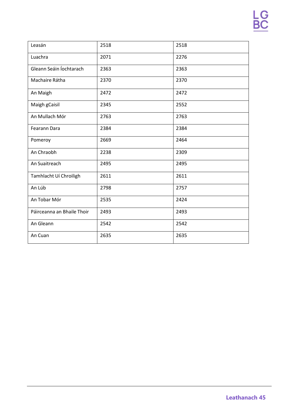| Leasán                     | 2518 | 2518 |
|----------------------------|------|------|
| Luachra                    | 2071 | 2276 |
| Gleann Seáin Íochtarach    | 2363 | 2363 |
| Machaire Rátha             | 2370 | 2370 |
| An Maigh                   | 2472 | 2472 |
| Maigh gCaisil              | 2345 | 2552 |
| An Mullach Mór             | 2763 | 2763 |
| Fearann Dara               | 2384 | 2384 |
| Pomeroy                    | 2669 | 2464 |
| An Chraobh                 | 2238 | 2309 |
| An Suaitreach              | 2495 | 2495 |
| Tamhlacht Uí Chroiligh     | 2611 | 2611 |
| An Lúb                     | 2798 | 2757 |
| An Tobar Mór               | 2535 | 2424 |
| Páirceanna an Bhaile Thoir | 2493 | 2493 |
| An Gleann                  | 2542 | 2542 |
| An Cuan                    | 2635 | 2635 |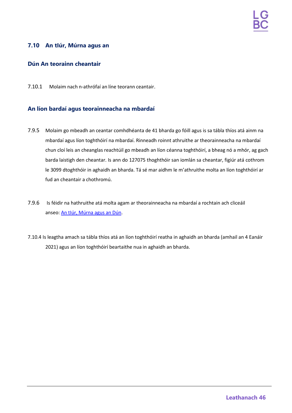## <span id="page-45-0"></span>**7.10 An tIúr, Múrna agus an**

## **Dún An teorainn cheantair**

7.10.1 Molaim nach n-athrófaí an líne teorann ceantair.

- 7.9.5 Molaim go mbeadh an ceantar comhdhéanta de 41 bharda go fóill agus is sa tábla thíos atá ainm na mbardaí agus líon toghthóirí na mbardaí. Rinneadh roinnt athruithe ar theorainneacha na mbardaí chun cloí leis an cheanglas reachtúil go mbeadh an líon céanna toghthóirí, a bheag nó a mhór, ag gach barda laistigh den cheantar. Is ann do 127075 thoghthóir san iomlán sa cheantar, figiúr atá cothrom le 3099 dtoghthóir in aghaidh an bharda. Tá sé mar aidhm le m'athruithe molta an líon toghthóirí ar fud an cheantair a chothromú.
- 7.9.6 Is féidir na hathruithe atá molta agam ar theorainneacha na mbardaí a rochtain ach cliceáil anseo: An [tIúr,](https://apps.spatialni.gov.uk/LGBC/LGBCPublicConsultationApp/index.html?extent=285462.8862%2C299817.679%2C369865.1383%2C358026.1287%2C29900) [Múrna agus an](https://apps.spatialni.gov.uk/LGBC/LGBCPublicConsultationApp/index.html?extent=285462.8862%2C299817.679%2C369865.1383%2C358026.1287%2C29900) Dún.
- 7.10.4 Is leagtha amach sa tábla thíos atá an líon toghthóirí reatha in aghaidh an bharda (amhail an 4 Eanáir 2021) agus an líon toghthóirí beartaithe nua in aghaidh an bharda.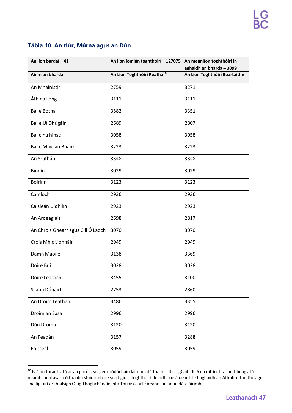## **Tábla 10. An tIúr, Múrna agus an Dún**

| An líon bardaí - 41                | An líon iomlán toghthóirí - 127075      | An meánlíon toghthóirí in<br>aghaidh an bharda - 3099 |
|------------------------------------|-----------------------------------------|-------------------------------------------------------|
| Ainm an bharda                     | An Líon Toghthóirí Reatha <sup>10</sup> | An Líon Toghthóirí Beartaithe                         |
| An Mhainistir                      | 2759                                    | 3271                                                  |
| Áth na Long                        | 3111                                    | 3111                                                  |
| <b>Baile Botha</b>                 | 3582                                    | 3351                                                  |
| Baile Uí Dhúgáin                   | 2689                                    | 2807                                                  |
| Baile na hInse                     | 3058                                    | 3058                                                  |
| <b>Baile Mhic an Bhaird</b>        | 3223                                    | 3223                                                  |
| An Sruthán                         | 3348                                    | 3348                                                  |
| Binnín                             | 3029                                    | 3029                                                  |
| <b>Boirinn</b>                     | 3123                                    | 3123                                                  |
| Camloch                            | 2936                                    | 2936                                                  |
| Caisleán Uidhilín                  | 2923                                    | 2923                                                  |
| An Ardeaglais                      | 2698                                    | 2817                                                  |
| An Chrois Ghearr agus Cill Ó Laoch | 3070                                    | 3070                                                  |
| Crois Mhic Lionnáin                | 2949                                    | 2949                                                  |
| Damh Maoile                        | 3138                                    | 3369                                                  |
| Doire Buí                          | 3028                                    | 3028                                                  |
| Doire Leacach                      | 3455                                    | 3100                                                  |
| Sliabh Dónairt                     | 2753                                    | 2860                                                  |
| An Droim Leathan                   | 3486                                    | 3355                                                  |
| Droim an Easa                      | 2996                                    | 2996                                                  |
| Dún Droma                          | 3120                                    | 3120                                                  |
| An Feadán                          | 3157                                    | 3288                                                  |
| Foirceal                           | 3059                                    | 3059                                                  |

 $10$  Is é an toradh atá ar an phróiseas geochódúcháin láimhe atá tuairiscithe i gCaibidil 6 ná difríochtaí an-bheag atá neamhshuntasach ó thaobh staidrimh de sna figiúirí toghthóirí deiridh a úsáideadh le haghaidh an Athbhreithnithe agus sna figiúirí ar fhoilsigh Oifig Thoghchánaíochta Thuaisceart Éireann iad ar an dáta áirimh.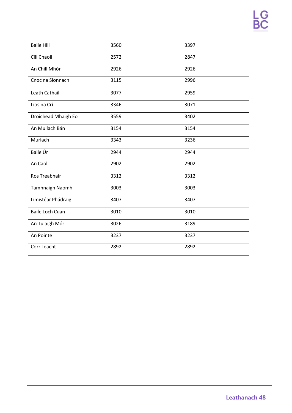| <b>Baile Hill</b>      | 3560 | 3397 |
|------------------------|------|------|
| Cill Chaoil            | 2572 | 2847 |
|                        |      |      |
| An Chill Mhór          | 2926 | 2926 |
| Cnoc na Sionnach       | 3115 | 2996 |
| Leath Cathail          | 3077 | 2959 |
| Lios na Crí            | 3346 | 3071 |
| Droichead Mhaigh Eo    | 3559 | 3402 |
| An Mullach Bán         | 3154 | 3154 |
| Murlach                | 3343 | 3236 |
| Baile Úr               | 2944 | 2944 |
| An Caol                | 2902 | 2902 |
| Ros Treabhair          | 3312 | 3312 |
| Tamhnaigh Naomh        | 3003 | 3003 |
| Limistéar Phádraig     | 3407 | 3407 |
| <b>Baile Loch Cuan</b> | 3010 | 3010 |
| An Tulaigh Mór         | 3026 | 3189 |
| An Pointe              | 3237 | 3237 |
| Corr Leacht            | 2892 | 2892 |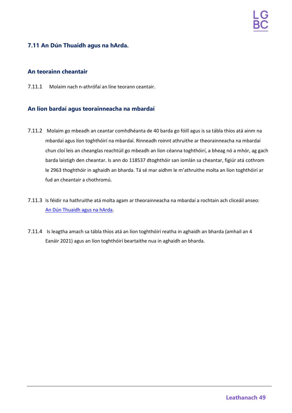## <span id="page-48-0"></span>**7.11 An Dún Thuaidh agus na hArda.**

#### **An teorainn cheantair**

7.11.1 Molaim nach n-athrófaí an líne teorann ceantair.

- 7.11.2 Molaim go mbeadh an ceantar comhdhéanta de 40 barda go fóill agus is sa tábla thíos atá ainm na mbardaí agus líon toghthóirí na mbardaí. Rinneadh roinnt athruithe ar theorainneacha na mbardaí chun cloí leis an cheanglas reachtúil go mbeadh an líon céanna toghthóirí, a bheag nó a mhór, ag gach barda laistigh den cheantar. Is ann do 118537 dtoghthóir san iomlán sa cheantar, figiúr atá cothrom le 2963 thoghthóir in aghaidh an bharda. Tá sé mar aidhm le m'athruithe molta an líon toghthóirí ar fud an cheantair a chothromú.
- 7.11.3 Is féidir na hathruithe atá molta agam ar theorainneacha na mbardaí a rochtain ach cliceáil anseo: An Dún [Thuaidh](https://apps.spatialni.gov.uk/LGBC/LGBCPublicConsultationApp/index.html?extent=318153.5774%2C333657.955%2C402555.8296%2C391866.4047%2C29900) [agus na](https://apps.spatialni.gov.uk/LGBC/LGBCPublicConsultationApp/index.html?extent=318153.5774%2C333657.955%2C402555.8296%2C391866.4047%2C29900) hArda.
- 7.11.4 Is leagtha amach sa tábla thíos atá an líon toghthóirí reatha in aghaidh an bharda (amhail an 4 Eanáir 2021) agus an líon toghthóirí beartaithe nua in aghaidh an bharda.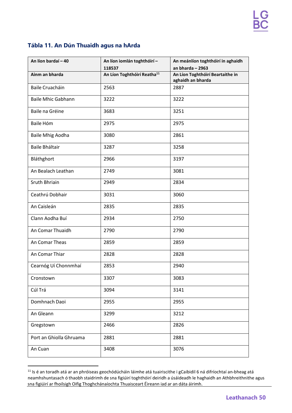## **Tábla 11. An Dún Thuaidh agus na hArda**

| An líon bardaí - 40       | An líon iomlán toghthóirí -<br>118537   | An meánlíon toghthóirí in aghaidh<br>an bharda $-2963$ |
|---------------------------|-----------------------------------------|--------------------------------------------------------|
| Ainm an bharda            | An Líon Toghthóirí Reatha <sup>11</sup> | An Líon Toghthóirí Beartaithe in<br>aghaidh an bharda  |
| <b>Baile Cruacháin</b>    | 2563                                    | 2887                                                   |
| <b>Baile Mhic Gabhann</b> | 3222                                    | 3222                                                   |
| Baile na Gréine           | 3683                                    | 3251                                                   |
| Baile Hóm                 | 2975                                    | 2975                                                   |
| <b>Baile Mhig Aodha</b>   | 3080                                    | 2861                                                   |
| <b>Baile Bháltair</b>     | 3287                                    | 3258                                                   |
| Bláthghort                | 2966                                    | 3197                                                   |
| An Bealach Leathan        | 2749                                    | 3081                                                   |
| <b>Sruth Bhriain</b>      | 2949                                    | 2834                                                   |
| Ceathrú Dobhair           | 3031                                    | 3060                                                   |
| An Caisleán               | 2835                                    | 2835                                                   |
| Clann Aodha Buí           | 2934                                    | 2750                                                   |
| An Comar Thuaidh          | 2790                                    | 2790                                                   |
| An Comar Theas            | 2859                                    | 2859                                                   |
| An Comar Thiar            | 2828                                    | 2828                                                   |
| Cearnóg Uí Chonnmhaí      | 2853                                    | 2940                                                   |
| Cronstown                 | 3307                                    | 3083                                                   |
| Cúl Trá                   | 3094                                    | 3141                                                   |
| Domhnach Daoi             | 2955                                    | 2955                                                   |
| An Gleann                 | 3299                                    | 3212                                                   |
| Gregstown                 | 2466                                    | 2826                                                   |
| Port an Ghiolla Ghruama   | 2881                                    | 2881                                                   |
| An Cuan                   | 3408                                    | 3076                                                   |

 $11$  Is é an toradh atá ar an phróiseas geochódúcháin láimhe atá tuairiscithe i gCaibidil 6 ná difríochtaí an-bheag atá neamhshuntasach ó thaobh staidrimh de sna figiúirí toghthóirí deiridh a úsáideadh le haghaidh an Athbhreithnithe agus sna figiúirí ar fhoilsigh Oifig Thoghchánaíochta Thuaisceart Éireann iad ar an dáta áirimh.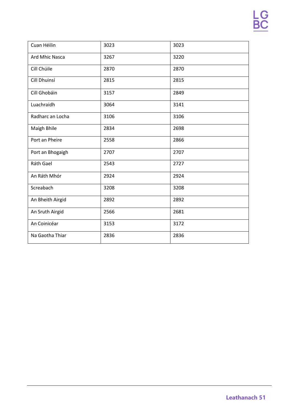| Cuan Héilin      | 3023 | 3023 |
|------------------|------|------|
| Ard Mhic Nasca   | 3267 | 3220 |
| Cill Chúile      | 2870 | 2870 |
| Cill Dhuinsí     | 2815 | 2815 |
| Cill Ghobáin     | 3157 | 2849 |
| Luachraidh       | 3064 | 3141 |
| Radharc an Locha | 3106 | 3106 |
| Maigh Bhile      | 2834 | 2698 |
| Port an Pheire   | 2558 | 2866 |
| Port an Bhogaigh | 2707 | 2707 |
| Ráth Gael        | 2543 | 2727 |
| An Ráth Mhór     | 2924 | 2924 |
| Screabach        | 3208 | 3208 |
| An Bheith Airgid | 2892 | 2892 |
| An Sruth Airgid  | 2566 | 2681 |
| An Coinicéar     | 3153 | 3172 |
| Na Gaotha Thiar  | 2836 | 2836 |
|                  |      |      |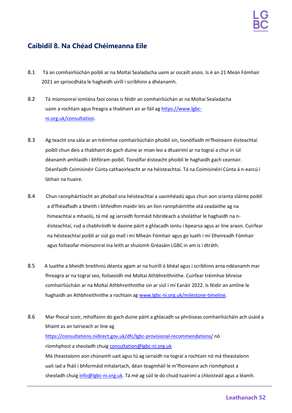## <span id="page-51-0"></span>**Caibidil 8. Na Chéad Chéimeanna Eile**

- 8.1 Tá an comhairliúchán poiblí ar na Moltaí Sealadacha uaim ar oscailt anois. Is é an 21 Meán Fómhair 2021 an spriocdháta le haghaidh uiríll i scríbhinn a dhéanamh.
- 8.2 Tá mionsonraí iomlána faoi conas is féidir an comhairliúchán ar na Moltaí Sealadacha uaim a rochtain agus freagra a thabhairt air ar fáil ag [https://www.lgbc](https://www.lgbc-ni.org.uk/consultation)[ni.org.uk/consultation.](https://www.lgbc-ni.org.uk/consultation)
- 8.3 Ag teacht sna sála ar an tréimhse comhairliúcháin phoiblí sin, tionólfaidh m'fhoireann éisteachtaí poiblí chun deis a thabhairt do gach duine ar mian leo a dtuairimí ar na tograí a chur in iúl déanamh amhlaidh i bhfóram poiblí. Tionólfar éisteacht phoiblí le haghaidh gach ceantair. Déanfaidh Coimisinéir Cúnta cathaoirleacht ar na héisteachtaí. Tá na Coimisinéirí Cúnta á n-earcú i láthair na huaire.
- 8.4 Chun rannpháirtíocht an phobail sna héisteachtaí a uasmhéadú agus chun aon srianta sláinte poiblí a d'fhéadfadh a bheith i bhfeidhm maidir leis an líon rannpháirtithe atá ceadaithe ag na himeachtaí a mhaolú, tá mé ag iarraidh formáid hibrideach a sholáthar le haghaidh na néisteachtaí, rud a chabhróidh le daoine páirt a ghlacadh iontu i bpearsa agus ar líne araon. Cuirfear na héisteachtaí poiblí ar siúl go mall i mí Mheán Fómhair agus go luath i mí Dheireadh Fómhair agus foilseofar mionsonraí ina leith ar shuíomh Gréasáin LGBC in am is i dtráth.
- 8.5 A luaithe a bheidh breithniú déanta agam ar na huiríll ó bhéal agus i scríbhinn arna ndéanamh mar fhreagra ar na tograí seo, foilseoidh mé Moltaí Athbhreithnithe. Cuirfear tréimhse bhreise comhairliúcháin ar na Moltaí Athbhreithnithe sin ar siúl i mí Eanáir 2022. Is féidir an amlíne le haghaidh an Athbhreithnithe a rochtain ag [www.lgbc-ni.org.uk/milestone-timeline.](http://www.lgbc-ni.org.uk/milestone-timeline)
- 8.6 Mar fhocal scoir, mholfainn do gach duine páirt a ghlacadh sa phróiseas comhairliúcháin ach úsáid a bhaint as an tairseach ar líne ag <https://consultations.nidirect.gov.uk/dfc/lgbc-provisional-recommendations/> nó ríomhphost a sheoladh chuig [consultation@lgbc-ni.org.uk.](mailto:consultation@lgbc-ni.org.uk) Má theastaíonn aon chúnamh uait agus tú ag iarraidh na tograí a rochtain nó má theastaíonn uait iad a fháil i bhformáid mhalartach, déan teagmháil le m'fhoireann ach ríomhphost a sheoladh chuig [info@lgbc-ni.org.uk.](mailto:info@lgbc-ni.org.uk) Tá mé ag súil le do chuid tuairimí a chloisteáil agus a léamh.